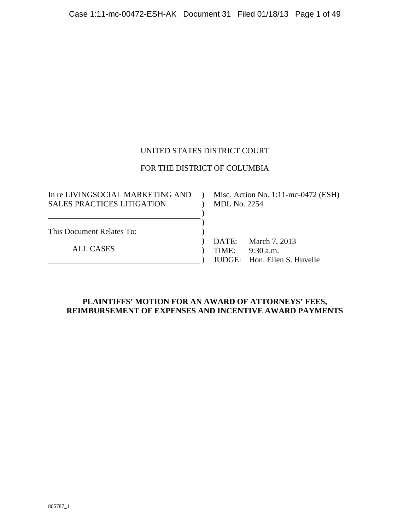### UNITED STATES DISTRICT COURT

# FOR THE DISTRICT OF COLUMBIA

| In re LIVINGSOCIAL MARKETING AND  |                     | Misc. Action No. 1:11-mc-0472 (ESH) |
|-----------------------------------|---------------------|-------------------------------------|
| <b>SALES PRACTICES LITIGATION</b> | <b>MDL No. 2254</b> |                                     |
|                                   |                     |                                     |
|                                   |                     |                                     |
| This Document Relates To:         |                     |                                     |
|                                   |                     | DATE: March 7, 2013                 |
| <b>ALL CASES</b>                  | TIME:               | $9:30$ a.m.                         |
|                                   |                     | JUDGE: Hon. Ellen S. Huvelle        |

### **PLAINTIFFS' MOTION FOR AN AWARD OF ATTORNEYS' FEES, REIMBURSEMENT OF EXPENSES AND INCENTIVE AWARD PAYMENTS**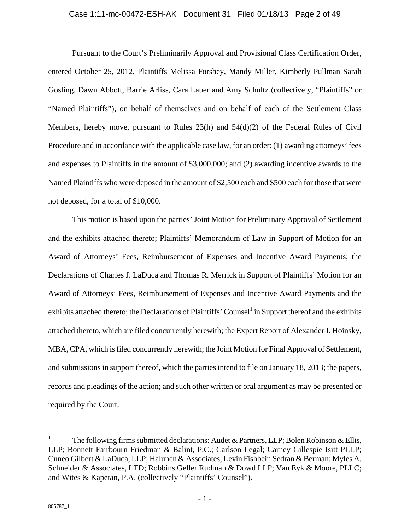#### Case 1:11-mc-00472-ESH-AK Document 31 Filed 01/18/13 Page 2 of 49

Pursuant to the Court's Preliminarily Approval and Provisional Class Certification Order, entered October 25, 2012, Plaintiffs Melissa Forshey, Mandy Miller, Kimberly Pullman Sarah Gosling, Dawn Abbott, Barrie Arliss, Cara Lauer and Amy Schultz (collectively, "Plaintiffs" or "Named Plaintiffs"), on behalf of themselves and on behalf of each of the Settlement Class Members, hereby move, pursuant to Rules  $23(h)$  and  $54(d)(2)$  of the Federal Rules of Civil Procedure and in accordance with the applicable case law, for an order: (1) awarding attorneys' fees and expenses to Plaintiffs in the amount of \$3,000,000; and (2) awarding incentive awards to the Named Plaintiffs who were deposed in the amount of \$2,500 each and \$500 each for those that were not deposed, for a total of \$10,000.

This motion is based upon the parties' Joint Motion for Preliminary Approval of Settlement and the exhibits attached thereto; Plaintiffs' Memorandum of Law in Support of Motion for an Award of Attorneys' Fees, Reimbursement of Expenses and Incentive Award Payments; the Declarations of Charles J. LaDuca and Thomas R. Merrick in Support of Plaintiffs' Motion for an Award of Attorneys' Fees, Reimbursement of Expenses and Incentive Award Payments and the exhibits attached thereto; the Declarations of Plaintiffs' Counsel<sup>1</sup> in Support thereof and the exhibits attached thereto, which are filed concurrently herewith; the Expert Report of Alexander J. Hoinsky, MBA, CPA, which is filed concurrently herewith; the Joint Motion for Final Approval of Settlement, and submissions in support thereof, which the parties intend to file on January 18, 2013; the papers, records and pleadings of the action; and such other written or oral argument as may be presented or required by the Court.

 $\overline{a}$ 

<sup>1</sup> The following firms submitted declarations: Audet & Partners, LLP; Bolen Robinson & Ellis, LLP; Bonnett Fairbourn Friedman & Balint, P.C.; Carlson Legal; Carney Gillespie Isitt PLLP; Cuneo Gilbert & LaDuca, LLP; Halunen & Associates; Levin Fishbein Sedran & Berman; Myles A. Schneider & Associates, LTD; Robbins Geller Rudman & Dowd LLP; Van Eyk & Moore, PLLC; and Wites & Kapetan, P.A. (collectively "Plaintiffs' Counsel").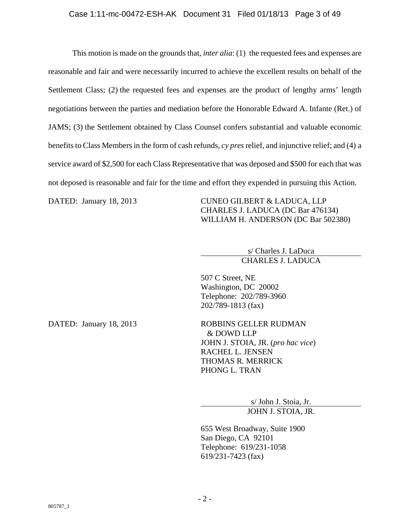This motion is made on the grounds that, *inter alia*: (1) the requested fees and expenses are reasonable and fair and were necessarily incurred to achieve the excellent results on behalf of the Settlement Class; (2) the requested fees and expenses are the product of lengthy arms' length negotiations between the parties and mediation before the Honorable Edward A. Infante (Ret.) of JAMS; (3) the Settlement obtained by Class Counsel confers substantial and valuable economic benefits to Class Members in the form of cash refunds, *cy pres* relief, and injunctive relief; and (4) a service award of \$2,500 for each Class Representative that was deposed and \$500 for each that was not deposed is reasonable and fair for the time and effort they expended in pursuing this Action.

DATED: January 18, 2013 CUNEO GILBERT & LADUCA, LLP CHARLES J. LADUCA (DC Bar 476134) WILLIAM H. ANDERSON (DC Bar 502380)

> s/ Charles J. LaDuca CHARLES J. LADUCA

507 C Street, NE Washington, DC 20002 Telephone: 202/789-3960 202/789-1813 (fax)

DATED: January 18, 2013 ROBBINS GELLER RUDMAN & DOWD LLP JOHN J. STOIA, JR. (*pro hac vice*) RACHEL L. JENSEN THOMAS R. MERRICK PHONG L. TRAN

> s/ John J. Stoia, Jr. JOHN J. STOIA, JR.

655 West Broadway, Suite 1900 San Diego, CA 92101 Telephone: 619/231-1058 619/231-7423 (fax)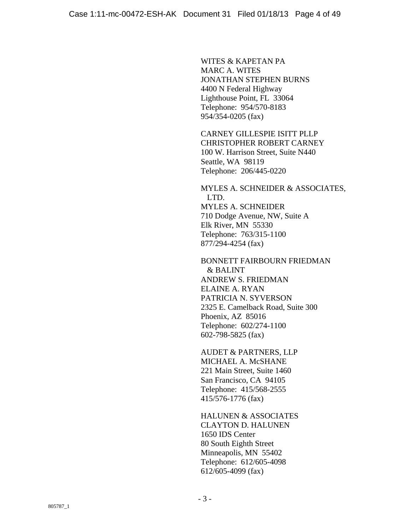WITES & KAPETAN PA MARC A. WITES JONATHAN STEPHEN BURNS 4400 N Federal Highway Lighthouse Point, FL 33064 Telephone: 954/570-8183 954/354-0205 (fax)

CARNEY GILLESPIE ISITT PLLP CHRISTOPHER ROBERT CARNEY 100 W. Harrison Street, Suite N440 Seattle, WA 98119 Telephone: 206/445-0220

MYLES A. SCHNEIDER & ASSOCIATES, LTD. MYLES A. SCHNEIDER 710 Dodge Avenue, NW, Suite A Elk River, MN 55330 Telephone: 763/315-1100 877/294-4254 (fax)

BONNETT FAIRBOURN FRIEDMAN & BALINT ANDREW S. FRIEDMAN ELAINE A. RYAN PATRICIA N. SYVERSON 2325 E. Camelback Road, Suite 300 Phoenix, AZ 85016 Telephone: 602/274-1100 602-798-5825 (fax)

AUDET & PARTNERS, LLP MICHAEL A. McSHANE 221 Main Street, Suite 1460 San Francisco, CA 94105 Telephone: 415/568-2555 415/576-1776 (fax)

HALUNEN & ASSOCIATES CLAYTON D. HALUNEN 1650 IDS Center 80 South Eighth Street Minneapolis, MN 55402 Telephone: 612/605-4098 612/605-4099 (fax)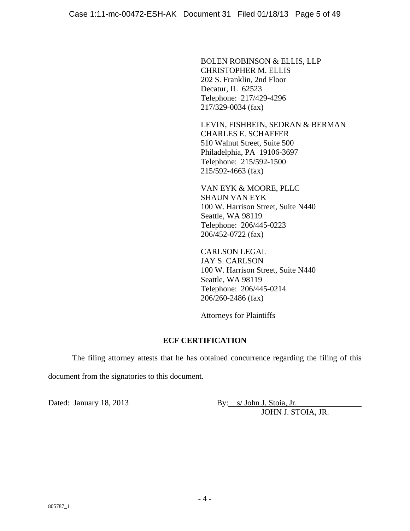BOLEN ROBINSON & ELLIS, LLP CHRISTOPHER M. ELLIS 202 S. Franklin, 2nd Floor Decatur, IL 62523 Telephone: 217/429-4296 217/329-0034 (fax)

LEVIN, FISHBEIN, SEDRAN & BERMAN CHARLES E. SCHAFFER 510 Walnut Street, Suite 500 Philadelphia, PA 19106-3697 Telephone: 215/592-1500 215/592-4663 (fax)

VAN EYK & MOORE, PLLC SHAUN VAN EYK 100 W. Harrison Street, Suite N440 Seattle, WA 98119 Telephone: 206/445-0223 206/452-0722 (fax)

CARLSON LEGAL JAY S. CARLSON 100 W. Harrison Street, Suite N440 Seattle, WA 98119 Telephone: 206/445-0214 206/260-2486 (fax)

Attorneys for Plaintiffs

### **ECF CERTIFICATION**

The filing attorney attests that he has obtained concurrence regarding the filing of this document from the signatories to this document.

Dated: January 18, 2013 By: s/ John J. Stoia, Jr. JOHN J. STOIA, JR.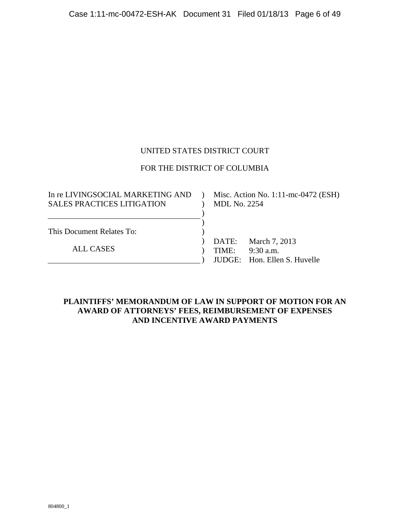### UNITED STATES DISTRICT COURT

### FOR THE DISTRICT OF COLUMBIA

| In re LIVINGSOCIAL MARKETING AND  |                     | Misc. Action No. 1:11-mc-0472 (ESH) |
|-----------------------------------|---------------------|-------------------------------------|
| <b>SALES PRACTICES LITIGATION</b> | <b>MDL No. 2254</b> |                                     |
|                                   |                     |                                     |
|                                   |                     |                                     |
| This Document Relates To:         |                     |                                     |
|                                   |                     | DATE: March 7, 2013                 |
| <b>ALL CASES</b>                  | TIME:               | $9:30$ a.m.                         |
|                                   |                     | JUDGE: Hon. Ellen S. Huvelle        |

### **PLAINTIFFS' MEMORANDUM OF LAW IN SUPPORT OF MOTION FOR AN AWARD OF ATTORNEYS' FEES, REIMBURSEMENT OF EXPENSES AND INCENTIVE AWARD PAYMENTS**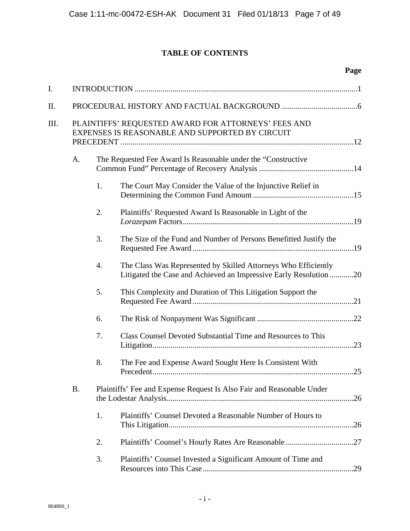# **TABLE OF CONTENTS**

|      |           |    |                                                                                                                                    | Page |
|------|-----------|----|------------------------------------------------------------------------------------------------------------------------------------|------|
| I.   |           |    |                                                                                                                                    |      |
| П.   |           |    |                                                                                                                                    |      |
| III. |           |    | PLAINTIFFS' REQUESTED AWARD FOR ATTORNEYS' FEES AND<br>EXPENSES IS REASONABLE AND SUPPORTED BY CIRCUIT                             |      |
|      | A.        |    | The Requested Fee Award Is Reasonable under the "Constructive                                                                      |      |
|      |           | 1. | The Court May Consider the Value of the Injunctive Relief in                                                                       |      |
|      |           | 2. | Plaintiffs' Requested Award Is Reasonable in Light of the                                                                          |      |
|      |           | 3. | The Size of the Fund and Number of Persons Benefitted Justify the                                                                  |      |
|      |           | 4. | The Class Was Represented by Skilled Attorneys Who Efficiently<br>Litigated the Case and Achieved an Impressive Early Resolution20 |      |
|      |           | 5. | This Complexity and Duration of This Litigation Support the                                                                        |      |
|      |           | 6. |                                                                                                                                    |      |
|      |           | 7. | Class Counsel Devoted Substantial Time and Resources to This                                                                       |      |
|      |           | 8. | The Fee and Expense Award Sought Here Is Consistent With                                                                           | .25  |
|      | <b>B.</b> |    | Plaintiffs' Fee and Expense Request Is Also Fair and Reasonable Under                                                              |      |
|      |           | 1. | Plaintiffs' Counsel Devoted a Reasonable Number of Hours to                                                                        |      |
|      |           | 2. |                                                                                                                                    |      |
|      |           | 3. | Plaintiffs' Counsel Invested a Significant Amount of Time and                                                                      |      |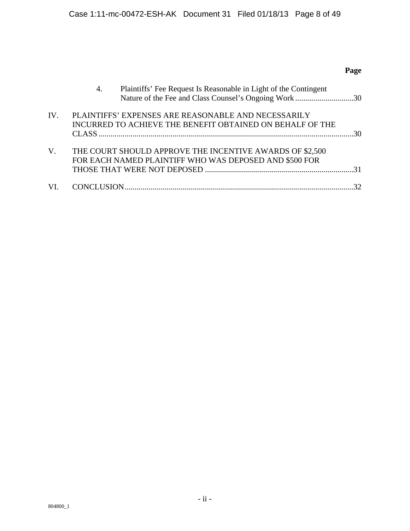# **Page**

|     | Plaintiffs' Fee Request Is Reasonable in Light of the Contingent<br>4.<br>Nature of the Fee and Class Counsel's Ongoing Work 30 |  |
|-----|---------------------------------------------------------------------------------------------------------------------------------|--|
| IV. | PLAINTIFFS' EXPENSES ARE REASONABLE AND NECESSARILY<br>INCURRED TO ACHIEVE THE BENEFIT OBTAINED ON BEHALF OF THE                |  |
| V.  | THE COURT SHOULD APPROVE THE INCENTIVE AWARDS OF \$2,500<br>FOR EACH NAMED PLAINTIFF WHO WAS DEPOSED AND \$500 FOR              |  |
| VL. |                                                                                                                                 |  |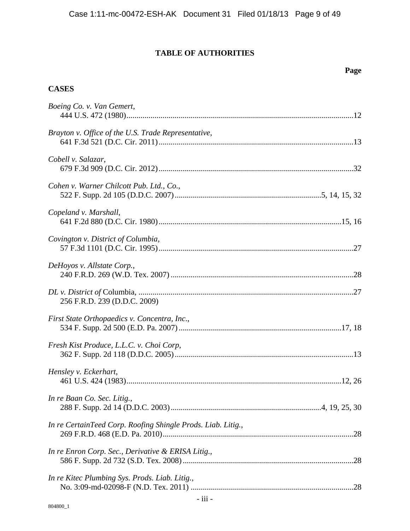# **TABLE OF AUTHORITIES**

### **Page**

### **CASES**

| Boeing Co. v. Van Gemert,                                    |  |
|--------------------------------------------------------------|--|
| Brayton v. Office of the U.S. Trade Representative,          |  |
| Cobell v. Salazar,                                           |  |
| Cohen v. Warner Chilcott Pub. Ltd., Co.,                     |  |
| Copeland v. Marshall,                                        |  |
| Covington v. District of Columbia,                           |  |
| DeHoyos v. Allstate Corp.,                                   |  |
| 256 F.R.D. 239 (D.D.C. 2009)                                 |  |
| First State Orthopaedics v. Concentra, Inc.,                 |  |
| Fresh Kist Produce, L.L.C. v. Choi Corp,                     |  |
| Hensley v. Eckerhart,                                        |  |
| In re Baan Co. Sec. Litig.,                                  |  |
| In re CertainTeed Corp. Roofing Shingle Prods. Liab. Litig., |  |
| In re Enron Corp. Sec., Derivative & ERISA Litig.,           |  |
| In re Kitec Plumbing Sys. Prods. Liab. Litig.,               |  |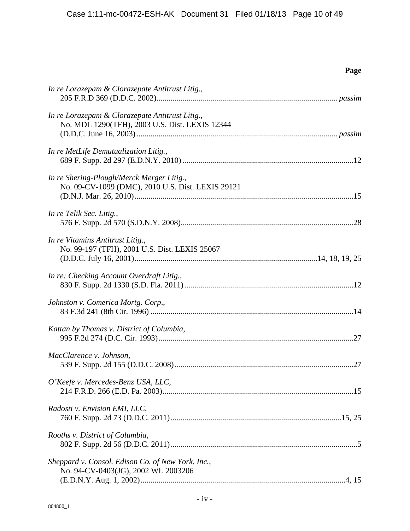**Page** 

| In re Lorazepam & Clorazepate Antitrust Litig.,                                                   |
|---------------------------------------------------------------------------------------------------|
| In re Lorazepam & Clorazepate Antitrust Litig.,<br>No. MDL 1290(TFH), 2003 U.S. Dist. LEXIS 12344 |
| In re MetLife Demutualization Litig.,                                                             |
| In re Shering-Plough/Merck Merger Litig.,<br>No. 09-CV-1099 (DMC), 2010 U.S. Dist. LEXIS 29121    |
| In re Telik Sec. Litig.,                                                                          |
| In re Vitamins Antitrust Litig.,<br>No. 99-197 (TFH), 2001 U.S. Dist. LEXIS 25067                 |
| In re: Checking Account Overdraft Litig.,                                                         |
| Johnston v. Comerica Mortg. Corp.,                                                                |
| Kattan by Thomas v. District of Columbia,                                                         |
| MacClarence v. Johnson,                                                                           |
| O'Keefe v. Mercedes-Benz USA, LLC,                                                                |
| Radosti v. Envision EMI, LLC,                                                                     |
| Rooths v. District of Columbia,                                                                   |
| Sheppard v. Consol. Edison Co. of New York, Inc.,<br>No. 94-CV-0403(JG), 2002 WL 2003206          |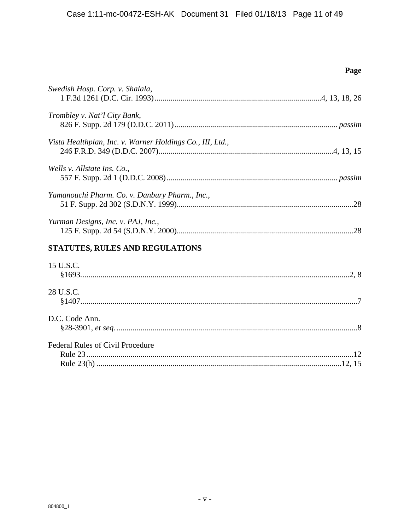| Swedish Hosp. Corp. v. Shalala,<br>Trombley v. Nat'l City Bank,<br>Vista Healthplan, Inc. v. Warner Holdings Co., III, Ltd.,<br>Wells v. Allstate Ins. Co.,<br>Yamanouchi Pharm. Co. v. Danbury Pharm., Inc., |
|---------------------------------------------------------------------------------------------------------------------------------------------------------------------------------------------------------------|
|                                                                                                                                                                                                               |
|                                                                                                                                                                                                               |
|                                                                                                                                                                                                               |
|                                                                                                                                                                                                               |
|                                                                                                                                                                                                               |
| Yurman Designs, Inc. v. PAJ, Inc.,                                                                                                                                                                            |
| STATUTES, RULES AND REGULATIONS                                                                                                                                                                               |
| 15 U.S.C.                                                                                                                                                                                                     |
| 28 U.S.C.                                                                                                                                                                                                     |
| D.C. Code Ann.                                                                                                                                                                                                |
| Federal Rules of Civil Procedure                                                                                                                                                                              |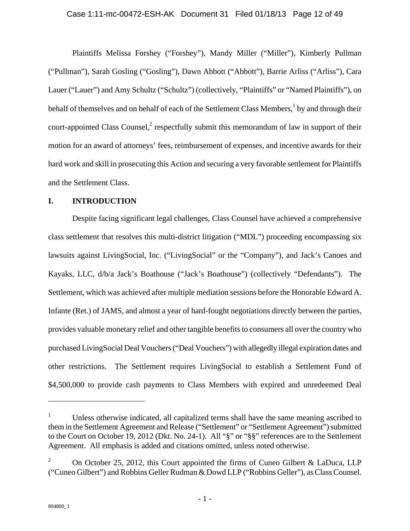#### Case 1:11-mc-00472-ESH-AK Document 31 Filed 01/18/13 Page 12 of 49

Plaintiffs Melissa Forshey ("Forshey"), Mandy Miller ("Miller"), Kimberly Pullman ("Pullman"), Sarah Gosling ("Gosling"), Dawn Abbott ("Abbott"), Barrie Arliss ("Arliss"), Cara Lauer ("Lauer") and Amy Schultz ("Schultz") (collectively, "Plaintiffs" or "Named Plaintiffs"), on behalf of themselves and on behalf of each of the Settlement Class Members,<sup>1</sup> by and through their court-appointed Class Counsel, $2$  respectfully submit this memorandum of law in support of their motion for an award of attorneys' fees, reimbursement of expenses, and incentive awards for their hard work and skill in prosecuting this Action and securing a very favorable settlement for Plaintiffs and the Settlement Class.

### **I. INTRODUCTION**

Despite facing significant legal challenges, Class Counsel have achieved a comprehensive class settlement that resolves this multi-district litigation ("MDL") proceeding encompassing six lawsuits against LivingSocial, Inc. ("LivingSocial" or the "Company"), and Jack's Canoes and Kayaks, LLC, d/b/a Jack's Boathouse ("Jack's Boathouse") (collectively "Defendants"). The Settlement, which was achieved after multiple mediation sessions before the Honorable Edward A. Infante (Ret.) of JAMS, and almost a year of hard-fought negotiations directly between the parties, provides valuable monetary relief and other tangible benefits to consumers all over the country who purchased LivingSocial Deal Vouchers ("Deal Vouchers") with allegedly illegal expiration dates and other restrictions. The Settlement requires LivingSocial to establish a Settlement Fund of \$4,500,000 to provide cash payments to Class Members with expired and unredeemed Deal

 $\overline{a}$ 

<sup>1</sup> Unless otherwise indicated, all capitalized terms shall have the same meaning ascribed to them in the Settlement Agreement and Release ("Settlement" or "Settlement Agreement") submitted to the Court on October 19, 2012 (Dkt. No. 24-1). All "§" or "§§" references are to the Settlement Agreement. All emphasis is added and citations omitted, unless noted otherwise.

<sup>2</sup> On October 25, 2012, this Court appointed the firms of Cuneo Gilbert & LaDuca, LLP ("Cuneo Gilbert") and Robbins Geller Rudman & Dowd LLP ("Robbins Geller"), as Class Counsel.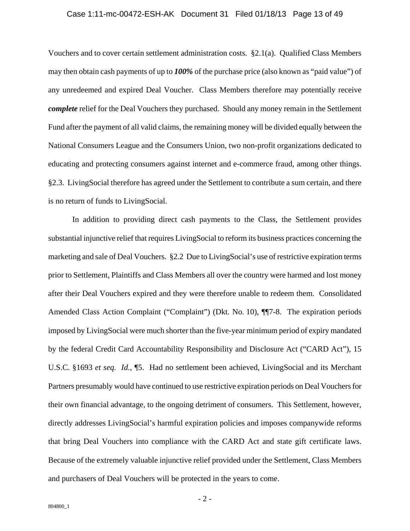#### Case 1:11-mc-00472-ESH-AK Document 31 Filed 01/18/13 Page 13 of 49

Vouchers and to cover certain settlement administration costs. §2.1(a). Qualified Class Members may then obtain cash payments of up to *100%* of the purchase price (also known as "paid value") of any unredeemed and expired Deal Voucher. Class Members therefore may potentially receive *complete* relief for the Deal Vouchers they purchased. Should any money remain in the Settlement Fund after the payment of all valid claims, the remaining money will be divided equally between the National Consumers League and the Consumers Union, two non-profit organizations dedicated to educating and protecting consumers against internet and e-commerce fraud, among other things. §2.3. LivingSocial therefore has agreed under the Settlement to contribute a sum certain, and there is no return of funds to LivingSocial.

In addition to providing direct cash payments to the Class, the Settlement provides substantial injunctive relief that requires LivingSocial to reform its business practices concerning the marketing and sale of Deal Vouchers. §2.2 Due to LivingSocial's use of restrictive expiration terms prior to Settlement, Plaintiffs and Class Members all over the country were harmed and lost money after their Deal Vouchers expired and they were therefore unable to redeem them. Consolidated Amended Class Action Complaint ("Complaint") (Dkt. No. 10), ¶¶7-8. The expiration periods imposed by LivingSocial were much shorter than the five-year minimum period of expiry mandated by the federal Credit Card Accountability Responsibility and Disclosure Act ("CARD Act"), 15 U.S.C. §1693 *et seq. Id.*, ¶5. Had no settlement been achieved, LivingSocial and its Merchant Partners presumably would have continued to use restrictive expiration periods on Deal Vouchers for their own financial advantage, to the ongoing detriment of consumers. This Settlement, however, directly addresses LivingSocial's harmful expiration policies and imposes companywide reforms that bring Deal Vouchers into compliance with the CARD Act and state gift certificate laws. Because of the extremely valuable injunctive relief provided under the Settlement, Class Members and purchasers of Deal Vouchers will be protected in the years to come.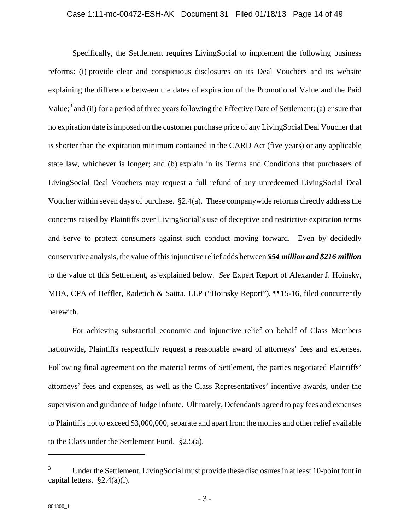#### Case 1:11-mc-00472-ESH-AK Document 31 Filed 01/18/13 Page 14 of 49

Specifically, the Settlement requires LivingSocial to implement the following business reforms: (i) provide clear and conspicuous disclosures on its Deal Vouchers and its website explaining the difference between the dates of expiration of the Promotional Value and the Paid Value;<sup>3</sup> and (ii) for a period of three years following the Effective Date of Settlement: (a) ensure that no expiration date is imposed on the customer purchase price of any LivingSocial Deal Voucher that is shorter than the expiration minimum contained in the CARD Act (five years) or any applicable state law, whichever is longer; and (b) explain in its Terms and Conditions that purchasers of LivingSocial Deal Vouchers may request a full refund of any unredeemed LivingSocial Deal Voucher within seven days of purchase. §2.4(a). These companywide reforms directly address the concerns raised by Plaintiffs over LivingSocial's use of deceptive and restrictive expiration terms and serve to protect consumers against such conduct moving forward. Even by decidedly conservative analysis, the value of this injunctive relief adds between *\$54 million and \$216 million* to the value of this Settlement, as explained below. *See* Expert Report of Alexander J. Hoinsky, MBA, CPA of Heffler, Radetich & Saitta, LLP ("Hoinsky Report"), ¶¶15-16, filed concurrently herewith.

For achieving substantial economic and injunctive relief on behalf of Class Members nationwide, Plaintiffs respectfully request a reasonable award of attorneys' fees and expenses. Following final agreement on the material terms of Settlement, the parties negotiated Plaintiffs' attorneys' fees and expenses, as well as the Class Representatives' incentive awards, under the supervision and guidance of Judge Infante. Ultimately, Defendants agreed to pay fees and expenses to Plaintiffs not to exceed \$3,000,000, separate and apart from the monies and other relief available to the Class under the Settlement Fund. §2.5(a).

 $\overline{a}$ 

<sup>3</sup> Under the Settlement, LivingSocial must provide these disclosures in at least 10-point font in capital letters. §2.4(a)(i).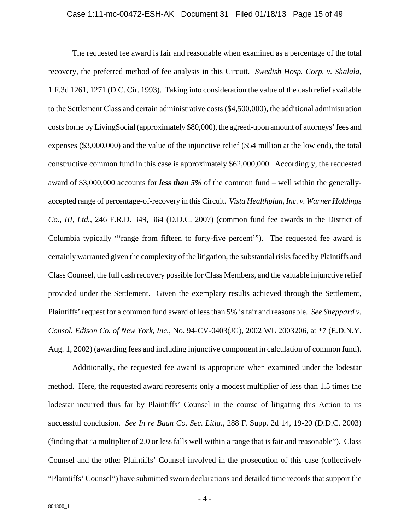#### Case 1:11-mc-00472-ESH-AK Document 31 Filed 01/18/13 Page 15 of 49

The requested fee award is fair and reasonable when examined as a percentage of the total recovery, the preferred method of fee analysis in this Circuit. *Swedish Hosp. Corp. v. Shalala*, 1 F.3d 1261, 1271 (D.C. Cir. 1993). Taking into consideration the value of the cash relief available to the Settlement Class and certain administrative costs (\$4,500,000), the additional administration costs borne by LivingSocial (approximately \$80,000), the agreed-upon amount of attorneys' fees and expenses (\$3,000,000) and the value of the injunctive relief (\$54 million at the low end), the total constructive common fund in this case is approximately \$62,000,000. Accordingly, the requested award of \$3,000,000 accounts for *less than 5%* of the common fund – well within the generallyaccepted range of percentage-of-recovery in this Circuit. *Vista Healthplan, Inc. v. Warner Holdings Co., III, Ltd.*, 246 F.R.D. 349, 364 (D.D.C. 2007) (common fund fee awards in the District of Columbia typically "'range from fifteen to forty-five percent'"). The requested fee award is certainly warranted given the complexity of the litigation, the substantial risks faced by Plaintiffs and Class Counsel, the full cash recovery possible for Class Members, and the valuable injunctive relief provided under the Settlement. Given the exemplary results achieved through the Settlement, Plaintiffs' request for a common fund award of less than 5% is fair and reasonable. *See Sheppard v. Consol. Edison Co. of New York, Inc.*, No. 94-CV-0403(JG), 2002 WL 2003206, at \*7 (E.D.N.Y. Aug. 1, 2002) (awarding fees and including injunctive component in calculation of common fund).

Additionally, the requested fee award is appropriate when examined under the lodestar method. Here, the requested award represents only a modest multiplier of less than 1.5 times the lodestar incurred thus far by Plaintiffs' Counsel in the course of litigating this Action to its successful conclusion. *See In re Baan Co. Sec. Litig.*, 288 F. Supp. 2d 14, 19-20 (D.D.C. 2003) (finding that "a multiplier of 2.0 or less falls well within a range that is fair and reasonable"). Class Counsel and the other Plaintiffs' Counsel involved in the prosecution of this case (collectively "Plaintiffs' Counsel") have submitted sworn declarations and detailed time records that support the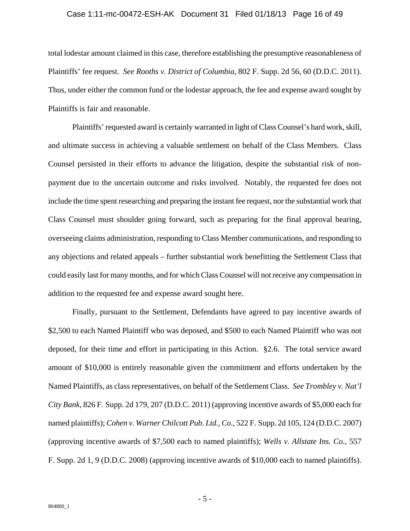#### Case 1:11-mc-00472-ESH-AK Document 31 Filed 01/18/13 Page 16 of 49

total lodestar amount claimed in this case, therefore establishing the presumptive reasonableness of Plaintiffs' fee request. *See Rooths v. District of Columbia*, 802 F. Supp. 2d 56, 60 (D.D.C. 2011). Thus, under either the common fund or the lodestar approach, the fee and expense award sought by Plaintiffs is fair and reasonable.

Plaintiffs' requested award is certainly warranted in light of Class Counsel's hard work, skill, and ultimate success in achieving a valuable settlement on behalf of the Class Members. Class Counsel persisted in their efforts to advance the litigation, despite the substantial risk of nonpayment due to the uncertain outcome and risks involved. Notably, the requested fee does not include the time spent researching and preparing the instant fee request, nor the substantial work that Class Counsel must shoulder going forward, such as preparing for the final approval hearing, overseeing claims administration, responding to Class Member communications, and responding to any objections and related appeals – further substantial work benefitting the Settlement Class that could easily last for many months, and for which Class Counsel will not receive any compensation in addition to the requested fee and expense award sought here.

Finally, pursuant to the Settlement, Defendants have agreed to pay incentive awards of \$2,500 to each Named Plaintiff who was deposed, and \$500 to each Named Plaintiff who was not deposed, for their time and effort in participating in this Action. §2.6. The total service award amount of \$10,000 is entirely reasonable given the commitment and efforts undertaken by the Named Plaintiffs, as class representatives, on behalf of the Settlement Class. *See Trombley v. Nat'l City Bank*, 826 F. Supp. 2d 179, 207 (D.D.C. 2011) (approving incentive awards of \$5,000 each for named plaintiffs); *Cohen v. Warner Chilcott Pub. Ltd., Co.*, 522 F. Supp. 2d 105, 124 (D.D.C. 2007) (approving incentive awards of \$7,500 each to named plaintiffs); *Wells v. Allstate Ins. Co.*, 557 F. Supp. 2d 1, 9 (D.D.C. 2008) (approving incentive awards of \$10,000 each to named plaintiffs).

- 5 -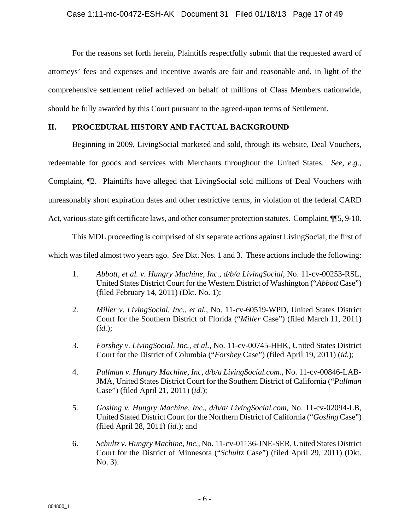For the reasons set forth herein, Plaintiffs respectfully submit that the requested award of attorneys' fees and expenses and incentive awards are fair and reasonable and, in light of the comprehensive settlement relief achieved on behalf of millions of Class Members nationwide, should be fully awarded by this Court pursuant to the agreed-upon terms of Settlement.

### **II. PROCEDURAL HISTORY AND FACTUAL BACKGROUND**

Beginning in 2009, LivingSocial marketed and sold, through its website, Deal Vouchers, redeemable for goods and services with Merchants throughout the United States. *See, e.g.*, Complaint, ¶2. Plaintiffs have alleged that LivingSocial sold millions of Deal Vouchers with unreasonably short expiration dates and other restrictive terms, in violation of the federal CARD Act, various state gift certificate laws, and other consumer protection statutes. Complaint,  $\P$ 5, 9-10.

This MDL proceeding is comprised of six separate actions against LivingSocial, the first of which was filed almost two years ago. *See* Dkt. Nos. 1 and 3. These actions include the following:

- 1. *Abbott, et al. v. Hungry Machine, Inc., d/b/a LivingSocial*, No. 11-cv-00253-RSL, United States District Court for the Western District of Washington ("*Abbott* Case") (filed February 14, 2011) (Dkt. No. 1);
- 2. *Miller v. LivingSocial, Inc., et al.*, No. 11-cv-60519-WPD, United States District Court for the Southern District of Florida ("*Miller* Case") (filed March 11, 2011) (*id.*);
- 3. *Forshey v. LivingSocial, Inc., et al.*, No. 11-cv-00745-HHK, United States District Court for the District of Columbia ("*Forshey* Case") (filed April 19, 2011) (*id.*);
- 4. *Pullman v. Hungry Machine, Inc, d/b/a LivingSocial.com.*, No. 11-cv-00846-LAB-JMA, United States District Court for the Southern District of California ("*Pullman*  Case") (filed April 21, 2011) (*id.*);
- 5. *Gosling v. Hungry Machine, Inc., d/b/a/ LivingSocial.com*, No. 11-cv-02094-LB, United Stated District Court for the Northern District of California ("*Gosling* Case") (filed April 28, 2011) (*id.*); and
- 6. *Schultz v. Hungry Machine, Inc.*, No. 11-cv-01136-JNE-SER, United States District Court for the District of Minnesota ("*Schultz* Case") (filed April 29, 2011) (Dkt. No. 3).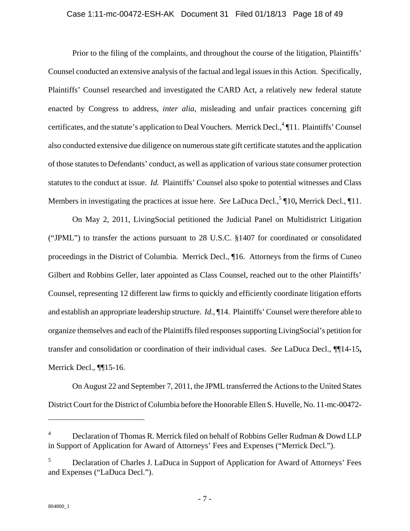#### Case 1:11-mc-00472-ESH-AK Document 31 Filed 01/18/13 Page 18 of 49

Prior to the filing of the complaints, and throughout the course of the litigation, Plaintiffs' Counsel conducted an extensive analysis of the factual and legal issues in this Action. Specifically, Plaintiffs' Counsel researched and investigated the CARD Act, a relatively new federal statute enacted by Congress to address, *inter alia*, misleading and unfair practices concerning gift certificates, and the statute's application to Deal Vouchers. Merrick Decl.,<sup>4</sup> ¶11. Plaintiffs' Counsel also conducted extensive due diligence on numerous state gift certificate statutes and the application of those statutes to Defendants' conduct, as well as application of various state consumer protection statutes to the conduct at issue. *Id.* Plaintiffs' Counsel also spoke to potential witnesses and Class Members in investigating the practices at issue here. *See* LaDuca Decl.,<sup>5</sup> ¶10, Merrick Decl., ¶11.

On May 2, 2011, LivingSocial petitioned the Judicial Panel on Multidistrict Litigation ("JPML") to transfer the actions pursuant to 28 U.S.C. §1407 for coordinated or consolidated proceedings in the District of Columbia. Merrick Decl., ¶16. Attorneys from the firms of Cuneo Gilbert and Robbins Geller, later appointed as Class Counsel, reached out to the other Plaintiffs' Counsel, representing 12 different law firms to quickly and efficiently coordinate litigation efforts and establish an appropriate leadership structure. *Id.*, ¶14. Plaintiffs' Counsel were therefore able to organize themselves and each of the Plaintiffs filed responses supporting LivingSocial's petition for transfer and consolidation or coordination of their individual cases. *See* LaDuca Decl., ¶¶14-15**,**  Merrick Decl., ¶¶15-16.

On August 22 and September 7, 2011, the JPML transferred the Actions to the United States District Court for the District of Columbia before the Honorable Ellen S. Huvelle, No. 11-mc-00472-

<u>.</u>

<sup>4</sup> Declaration of Thomas R. Merrick filed on behalf of Robbins Geller Rudman & Dowd LLP in Support of Application for Award of Attorneys' Fees and Expenses ("Merrick Decl.").

<sup>5</sup> Declaration of Charles J. LaDuca in Support of Application for Award of Attorneys' Fees and Expenses ("LaDuca Decl.").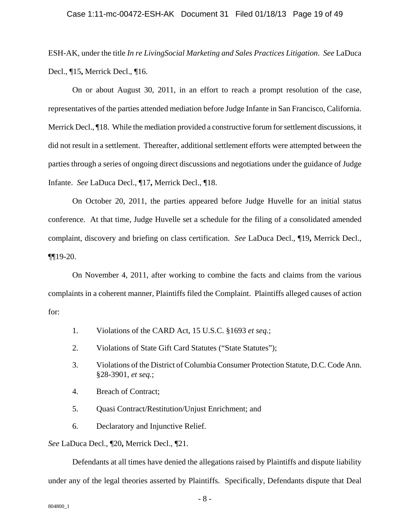#### Case 1:11-mc-00472-ESH-AK Document 31 Filed 01/18/13 Page 19 of 49

ESH-AK, under the title *In re LivingSocial Marketing and Sales Practices Litigation*. *See* LaDuca Decl., ¶15**,** Merrick Decl., ¶16.

On or about August 30, 2011, in an effort to reach a prompt resolution of the case, representatives of the parties attended mediation before Judge Infante in San Francisco, California. Merrick Decl., ¶18. While the mediation provided a constructive forum for settlement discussions, it did not result in a settlement. Thereafter, additional settlement efforts were attempted between the parties through a series of ongoing direct discussions and negotiations under the guidance of Judge Infante. *See* LaDuca Decl., ¶17**,** Merrick Decl., ¶18.

On October 20, 2011, the parties appeared before Judge Huvelle for an initial status conference. At that time, Judge Huvelle set a schedule for the filing of a consolidated amended complaint, discovery and briefing on class certification. *See* LaDuca Decl., ¶19**,** Merrick Decl.,  $\P$ [19-20.

On November 4, 2011, after working to combine the facts and claims from the various complaints in a coherent manner, Plaintiffs filed the Complaint. Plaintiffs alleged causes of action for:

- 1. Violations of the CARD Act, 15 U.S.C. §1693 *et seq.*;
- 2. Violations of State Gift Card Statutes ("State Statutes");
- 3. Violations of the District of Columbia Consumer Protection Statute, D.C. Code Ann. §28-3901, *et seq.*;
- 4. Breach of Contract;
- 5. Quasi Contract/Restitution/Unjust Enrichment; and
- 6. Declaratory and Injunctive Relief.

*See* LaDuca Decl., ¶20**,** Merrick Decl., ¶21.

Defendants at all times have denied the allegations raised by Plaintiffs and dispute liability under any of the legal theories asserted by Plaintiffs. Specifically, Defendants dispute that Deal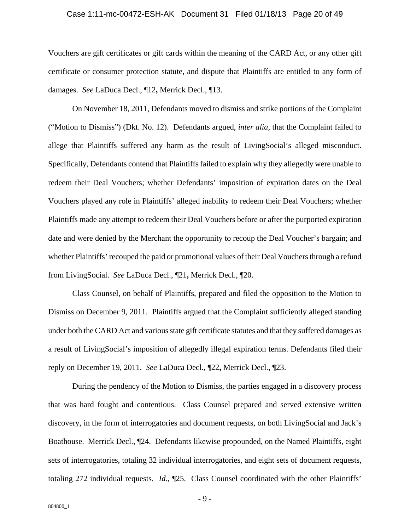#### Case 1:11-mc-00472-ESH-AK Document 31 Filed 01/18/13 Page 20 of 49

Vouchers are gift certificates or gift cards within the meaning of the CARD Act, or any other gift certificate or consumer protection statute, and dispute that Plaintiffs are entitled to any form of damages. *See* LaDuca Decl., ¶12**,** Merrick Decl., ¶13.

On November 18, 2011, Defendants moved to dismiss and strike portions of the Complaint ("Motion to Dismiss") (Dkt. No. 12). Defendants argued, *inter alia,* that the Complaint failed to allege that Plaintiffs suffered any harm as the result of LivingSocial's alleged misconduct. Specifically, Defendants contend that Plaintiffs failed to explain why they allegedly were unable to redeem their Deal Vouchers; whether Defendants' imposition of expiration dates on the Deal Vouchers played any role in Plaintiffs' alleged inability to redeem their Deal Vouchers; whether Plaintiffs made any attempt to redeem their Deal Vouchers before or after the purported expiration date and were denied by the Merchant the opportunity to recoup the Deal Voucher's bargain; and whether Plaintiffs' recouped the paid or promotional values of their Deal Vouchers through a refund from LivingSocial. *See* LaDuca Decl., ¶21**,** Merrick Decl., ¶20.

Class Counsel, on behalf of Plaintiffs, prepared and filed the opposition to the Motion to Dismiss on December 9, 2011. Plaintiffs argued that the Complaint sufficiently alleged standing under both the CARD Act and various state gift certificate statutes and that they suffered damages as a result of LivingSocial's imposition of allegedly illegal expiration terms. Defendants filed their reply on December 19, 2011. *See* LaDuca Decl., ¶22**,** Merrick Decl., ¶23.

During the pendency of the Motion to Dismiss, the parties engaged in a discovery process that was hard fought and contentious. Class Counsel prepared and served extensive written discovery, in the form of interrogatories and document requests, on both LivingSocial and Jack's Boathouse. Merrick Decl., ¶24. Defendants likewise propounded, on the Named Plaintiffs, eight sets of interrogatories, totaling 32 individual interrogatories, and eight sets of document requests, totaling 272 individual requests. *Id.*, ¶25. Class Counsel coordinated with the other Plaintiffs'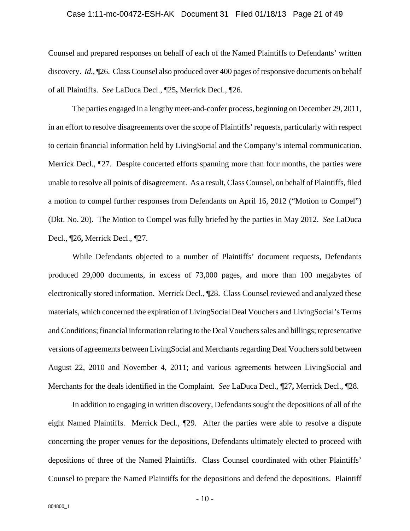#### Case 1:11-mc-00472-ESH-AK Document 31 Filed 01/18/13 Page 21 of 49

Counsel and prepared responses on behalf of each of the Named Plaintiffs to Defendants' written discovery. *Id.*, ¶26. Class Counsel also produced over 400 pages of responsive documents on behalf of all Plaintiffs. *See* LaDuca Decl., ¶25**,** Merrick Decl., ¶26.

The parties engaged in a lengthy meet-and-confer process, beginning on December 29, 2011, in an effort to resolve disagreements over the scope of Plaintiffs' requests, particularly with respect to certain financial information held by LivingSocial and the Company's internal communication. Merrick Decl., ¶27. Despite concerted efforts spanning more than four months, the parties were unable to resolve all points of disagreement. As a result, Class Counsel, on behalf of Plaintiffs, filed a motion to compel further responses from Defendants on April 16, 2012 ("Motion to Compel") (Dkt. No. 20). The Motion to Compel was fully briefed by the parties in May 2012. *See* LaDuca Decl., ¶26**,** Merrick Decl., ¶27.

While Defendants objected to a number of Plaintiffs' document requests, Defendants produced 29,000 documents, in excess of 73,000 pages, and more than 100 megabytes of electronically stored information. Merrick Decl., ¶28. Class Counsel reviewed and analyzed these materials, which concerned the expiration of LivingSocial Deal Vouchers and LivingSocial's Terms and Conditions; financial information relating to the Deal Vouchers sales and billings; representative versions of agreements between LivingSocial and Merchants regarding Deal Vouchers sold between August 22, 2010 and November 4, 2011; and various agreements between LivingSocial and Merchants for the deals identified in the Complaint. *See* LaDuca Decl., ¶27**,** Merrick Decl., ¶28.

In addition to engaging in written discovery, Defendants sought the depositions of all of the eight Named Plaintiffs. Merrick Decl., ¶29. After the parties were able to resolve a dispute concerning the proper venues for the depositions, Defendants ultimately elected to proceed with depositions of three of the Named Plaintiffs. Class Counsel coordinated with other Plaintiffs' Counsel to prepare the Named Plaintiffs for the depositions and defend the depositions. Plaintiff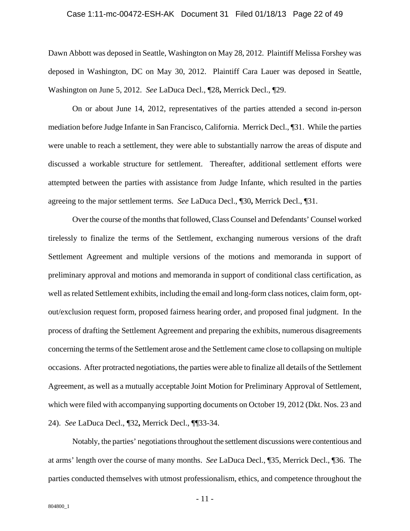#### Case 1:11-mc-00472-ESH-AK Document 31 Filed 01/18/13 Page 22 of 49

Dawn Abbott was deposed in Seattle, Washington on May 28, 2012. Plaintiff Melissa Forshey was deposed in Washington, DC on May 30, 2012. Plaintiff Cara Lauer was deposed in Seattle, Washington on June 5, 2012. *See* LaDuca Decl., ¶28**,** Merrick Decl., ¶29.

On or about June 14, 2012, representatives of the parties attended a second in-person mediation before Judge Infante in San Francisco, California. Merrick Decl., ¶31. While the parties were unable to reach a settlement, they were able to substantially narrow the areas of dispute and discussed a workable structure for settlement. Thereafter, additional settlement efforts were attempted between the parties with assistance from Judge Infante, which resulted in the parties agreeing to the major settlement terms. *See* LaDuca Decl., ¶30**,** Merrick Decl., ¶31.

Over the course of the months that followed, Class Counsel and Defendants' Counsel worked tirelessly to finalize the terms of the Settlement, exchanging numerous versions of the draft Settlement Agreement and multiple versions of the motions and memoranda in support of preliminary approval and motions and memoranda in support of conditional class certification, as well as related Settlement exhibits, including the email and long-form class notices, claim form, optout/exclusion request form, proposed fairness hearing order, and proposed final judgment. In the process of drafting the Settlement Agreement and preparing the exhibits, numerous disagreements concerning the terms of the Settlement arose and the Settlement came close to collapsing on multiple occasions. After protracted negotiations, the parties were able to finalize all details of the Settlement Agreement, as well as a mutually acceptable Joint Motion for Preliminary Approval of Settlement, which were filed with accompanying supporting documents on October 19, 2012 (Dkt. Nos. 23 and 24). *See* LaDuca Decl., ¶32**,** Merrick Decl., ¶¶33-34.

Notably, the parties' negotiations throughout the settlement discussions were contentious and at arms' length over the course of many months. *See* LaDuca Decl., ¶35, Merrick Decl., ¶36. The parties conducted themselves with utmost professionalism, ethics, and competence throughout the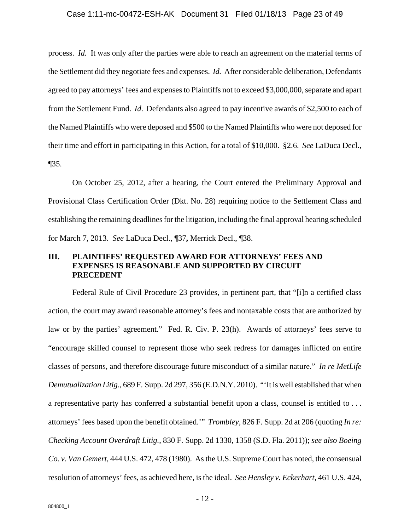#### Case 1:11-mc-00472-ESH-AK Document 31 Filed 01/18/13 Page 23 of 49

process. *Id.* It was only after the parties were able to reach an agreement on the material terms of the Settlement did they negotiate fees and expenses. *Id.* After considerable deliberation, Defendants agreed to pay attorneys' fees and expenses to Plaintiffs not to exceed \$3,000,000, separate and apart from the Settlement Fund. *Id*. Defendants also agreed to pay incentive awards of \$2,500 to each of the Named Plaintiffs who were deposed and \$500 to the Named Plaintiffs who were not deposed for their time and effort in participating in this Action, for a total of \$10,000. §2.6. *See* LaDuca Decl., ¶35.

On October 25, 2012, after a hearing, the Court entered the Preliminary Approval and Provisional Class Certification Order (Dkt. No. 28) requiring notice to the Settlement Class and establishing the remaining deadlines for the litigation, including the final approval hearing scheduled for March 7, 2013. *See* LaDuca Decl., ¶37**,** Merrick Decl., ¶38.

### **III. PLAINTIFFS' REQUESTED AWARD FOR ATTORNEYS' FEES AND EXPENSES IS REASONABLE AND SUPPORTED BY CIRCUIT PRECEDENT**

Federal Rule of Civil Procedure 23 provides, in pertinent part, that "[i]n a certified class action, the court may award reasonable attorney's fees and nontaxable costs that are authorized by law or by the parties' agreement." Fed. R. Civ. P. 23(h). Awards of attorneys' fees serve to "encourage skilled counsel to represent those who seek redress for damages inflicted on entire classes of persons, and therefore discourage future misconduct of a similar nature." *In re MetLife Demutualization Litig.*, 689 F. Supp. 2d 297, 356 (E.D.N.Y. 2010). "'It is well established that when a representative party has conferred a substantial benefit upon a class, counsel is entitled to . . . attorneys' fees based upon the benefit obtained.'" *Trombley*, 826 F. Supp. 2d at 206 (quoting *In re: Checking Account Overdraft Litig.*, 830 F. Supp. 2d 1330, 1358 (S.D. Fla. 2011)); *see also Boeing Co. v. Van Gemert*, 444 U.S. 472, 478 (1980). As the U.S. Supreme Court has noted, the consensual resolution of attorneys' fees, as achieved here, is the ideal. *See Hensley v. Eckerhart*, 461 U.S. 424,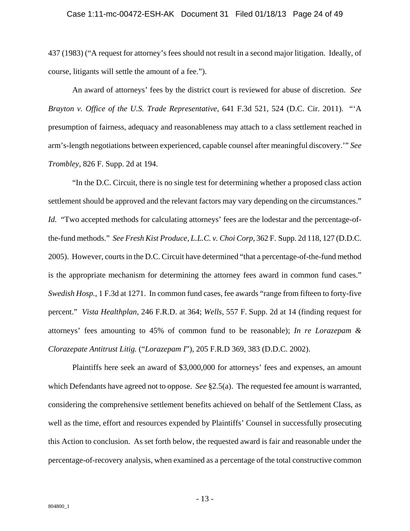#### Case 1:11-mc-00472-ESH-AK Document 31 Filed 01/18/13 Page 24 of 49

437 (1983) ("A request for attorney's fees should not result in a second major litigation. Ideally, of course, litigants will settle the amount of a fee.").

An award of attorneys' fees by the district court is reviewed for abuse of discretion. *See Brayton v. Office of the U.S. Trade Representative*, 641 F.3d 521, 524 (D.C. Cir. 2011). "'A presumption of fairness, adequacy and reasonableness may attach to a class settlement reached in arm's-length negotiations between experienced, capable counsel after meaningful discovery.'" *See Trombley,* 826 F. Supp. 2d at 194.

"In the D.C. Circuit, there is no single test for determining whether a proposed class action settlement should be approved and the relevant factors may vary depending on the circumstances." *Id.* "Two accepted methods for calculating attorneys' fees are the lodestar and the percentage-ofthe-fund methods." *See Fresh Kist Produce, L.L.C. v. Choi Corp*, 362 F. Supp. 2d 118, 127 (D.D.C. 2005). However, courts in the D.C. Circuit have determined "that a percentage-of-the-fund method is the appropriate mechanism for determining the attorney fees award in common fund cases." *Swedish Hosp.*, 1 F.3d at 1271. In common fund cases, fee awards "range from fifteen to forty-five percent." *Vista Healthplan*, 246 F.R.D. at 364; *Wells*, 557 F. Supp. 2d at 14 (finding request for attorneys' fees amounting to 45% of common fund to be reasonable); *In re Lorazepam & Clorazepate Antitrust Litig.* ("*Lorazepam I*"), 205 F.R.D 369, 383 (D.D.C. 2002).

Plaintiffs here seek an award of \$3,000,000 for attorneys' fees and expenses, an amount which Defendants have agreed not to oppose. *See* §2.5(a). The requested fee amount is warranted, considering the comprehensive settlement benefits achieved on behalf of the Settlement Class, as well as the time, effort and resources expended by Plaintiffs' Counsel in successfully prosecuting this Action to conclusion. As set forth below, the requested award is fair and reasonable under the percentage-of-recovery analysis, when examined as a percentage of the total constructive common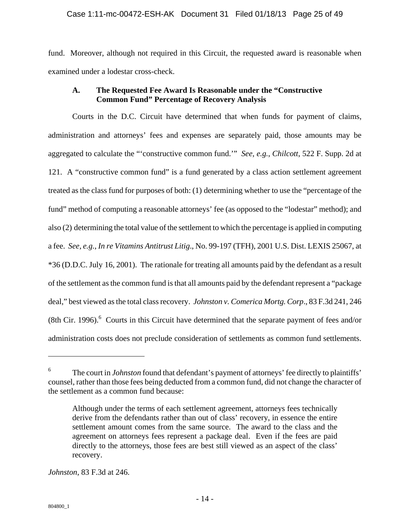### Case 1:11-mc-00472-ESH-AK Document 31 Filed 01/18/13 Page 25 of 49

fund. Moreover, although not required in this Circuit, the requested award is reasonable when examined under a lodestar cross-check.

### **A. The Requested Fee Award Is Reasonable under the "Constructive Common Fund" Percentage of Recovery Analysis**

Courts in the D.C. Circuit have determined that when funds for payment of claims, administration and attorneys' fees and expenses are separately paid, those amounts may be aggregated to calculate the "'constructive common fund.'" *See, e.g.*, *Chilcott*, 522 F. Supp. 2d at 121. A "constructive common fund" is a fund generated by a class action settlement agreement treated as the class fund for purposes of both: (1) determining whether to use the "percentage of the fund" method of computing a reasonable attorneys' fee (as opposed to the "lodestar" method); and also (2) determining the total value of the settlement to which the percentage is applied in computing a fee. *See, e.g.*, *In re Vitamins Antitrust Litig*., No. 99-197 (TFH), 2001 U.S. Dist. LEXIS 25067, at \*36 (D.D.C. July 16, 2001). The rationale for treating all amounts paid by the defendant as a result of the settlement as the common fund is that all amounts paid by the defendant represent a "package deal," best viewed as the total class recovery. *Johnston v. Comerica Mortg. Corp*., 83 F.3d 241, 246  $(8th Cir. 1996).$ <sup>6</sup> Courts in this Circuit have determined that the separate payment of fees and/or administration costs does not preclude consideration of settlements as common fund settlements.

*Johnston*, 83 F.3d at 246.

 $\overline{a}$ 

<sup>6</sup> The court in *Johnston* found that defendant's payment of attorneys' fee directly to plaintiffs' counsel, rather than those fees being deducted from a common fund, did not change the character of the settlement as a common fund because:

Although under the terms of each settlement agreement, attorneys fees technically derive from the defendants rather than out of class' recovery, in essence the entire settlement amount comes from the same source. The award to the class and the agreement on attorneys fees represent a package deal. Even if the fees are paid directly to the attorneys, those fees are best still viewed as an aspect of the class' recovery.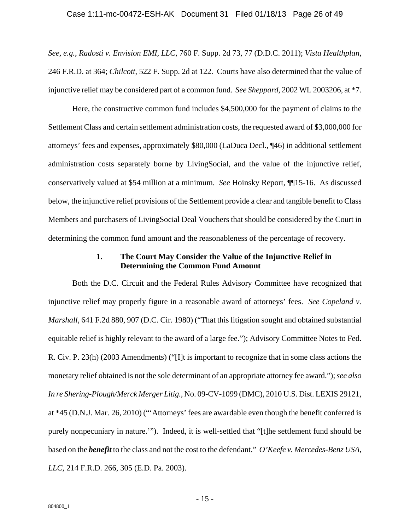#### Case 1:11-mc-00472-ESH-AK Document 31 Filed 01/18/13 Page 26 of 49

*See, e.g.*, *Radosti v. Envision EMI, LLC*, 760 F. Supp. 2d 73, 77 (D.D.C. 2011); *Vista Healthplan*, 246 F.R.D. at 364; *Chilcott*, 522 F. Supp. 2d at 122.Courts have also determined that the value of injunctive relief may be considered part of a common fund. *See Sheppard*, 2002 WL 2003206, at \*7.

Here, the constructive common fund includes \$4,500,000 for the payment of claims to the Settlement Class and certain settlement administration costs, the requested award of \$3,000,000 for attorneys' fees and expenses, approximately \$80,000 (LaDuca Decl., ¶46) in additional settlement administration costs separately borne by LivingSocial, and the value of the injunctive relief, conservatively valued at \$54 million at a minimum. *See* Hoinsky Report, ¶¶15-16. As discussed below, the injunctive relief provisions of the Settlement provide a clear and tangible benefit to Class Members and purchasers of LivingSocial Deal Vouchers that should be considered by the Court in determining the common fund amount and the reasonableness of the percentage of recovery.

### **1. The Court May Consider the Value of the Injunctive Relief in Determining the Common Fund Amount**

Both the D.C. Circuit and the Federal Rules Advisory Committee have recognized that injunctive relief may properly figure in a reasonable award of attorneys' fees. *See Copeland v. Marshall*, 641 F.2d 880, 907 (D.C. Cir. 1980) ("That this litigation sought and obtained substantial equitable relief is highly relevant to the award of a large fee."); Advisory Committee Notes to Fed. R. Civ. P. 23(h) (2003 Amendments) ("[I]t is important to recognize that in some class actions the monetary relief obtained is not the sole determinant of an appropriate attorney fee award."); *see also In re Shering-Plough/Merck Merger Litig.*, No. 09-CV-1099 (DMC), 2010 U.S. Dist. LEXIS 29121, at \*45 (D.N.J. Mar. 26, 2010) ("'Attorneys' fees are awardable even though the benefit conferred is purely nonpecuniary in nature.'"). Indeed, it is well-settled that "[t]he settlement fund should be based on the *benefit* to the class and not the cost to the defendant." *O'Keefe v. Mercedes-Benz USA, LLC*, 214 F.R.D. 266, 305 (E.D. Pa. 2003).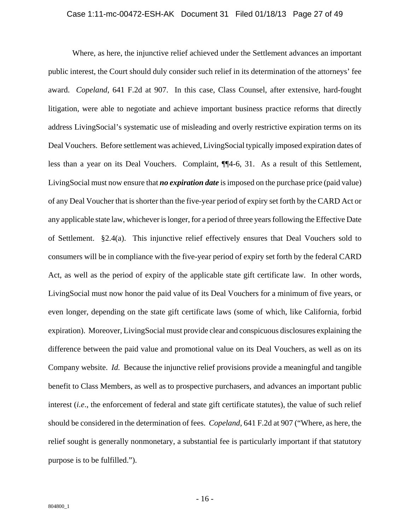#### Case 1:11-mc-00472-ESH-AK Document 31 Filed 01/18/13 Page 27 of 49

Where, as here, the injunctive relief achieved under the Settlement advances an important public interest, the Court should duly consider such relief in its determination of the attorneys' fee award. *Copeland*, 641 F.2d at 907. In this case, Class Counsel, after extensive, hard-fought litigation, were able to negotiate and achieve important business practice reforms that directly address LivingSocial's systematic use of misleading and overly restrictive expiration terms on its Deal Vouchers. Before settlement was achieved, LivingSocial typically imposed expiration dates of less than a year on its Deal Vouchers. Complaint, ¶¶4-6, 31. As a result of this Settlement, LivingSocial must now ensure that *no expiration date* is imposed on the purchase price (paid value) of any Deal Voucher that is shorter than the five-year period of expiry set forth by the CARD Act or any applicable state law, whichever is longer, for a period of three years following the Effective Date of Settlement. §2.4(a). This injunctive relief effectively ensures that Deal Vouchers sold to consumers will be in compliance with the five-year period of expiry set forth by the federal CARD Act, as well as the period of expiry of the applicable state gift certificate law. In other words, LivingSocial must now honor the paid value of its Deal Vouchers for a minimum of five years, or even longer, depending on the state gift certificate laws (some of which, like California, forbid expiration). Moreover, LivingSocial must provide clear and conspicuous disclosures explaining the difference between the paid value and promotional value on its Deal Vouchers, as well as on its Company website. *Id.* Because the injunctive relief provisions provide a meaningful and tangible benefit to Class Members, as well as to prospective purchasers, and advances an important public interest (*i.e*., the enforcement of federal and state gift certificate statutes), the value of such relief should be considered in the determination of fees. *Copeland*, 641 F.2d at 907 ("Where, as here, the relief sought is generally nonmonetary, a substantial fee is particularly important if that statutory purpose is to be fulfilled.").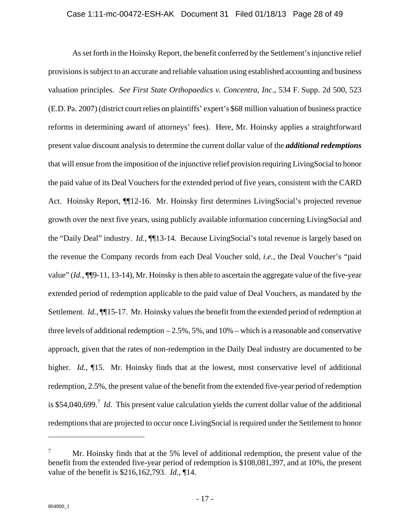#### Case 1:11-mc-00472-ESH-AK Document 31 Filed 01/18/13 Page 28 of 49

As set forth in the Hoinsky Report, the benefit conferred by the Settlement's injunctive relief provisions is subject to an accurate and reliable valuation using established accounting and business valuation principles. *See First State Orthopaedics v. Concentra, Inc*., 534 F. Supp. 2d 500, 523 (E.D. Pa. 2007) (district court relies on plaintiffs' expert's \$68 million valuation of business practice reforms in determining award of attorneys' fees). Here, Mr. Hoinsky applies a straightforward present value discount analysis to determine the current dollar value of the *additional redemptions* that will ensue from the imposition of the injunctive relief provision requiring LivingSocial to honor the paid value of its Deal Vouchers for the extended period of five years, consistent with the CARD Act. Hoinsky Report, ¶¶12-16. Mr. Hoinsky first determines LivingSocial's projected revenue growth over the next five years, using publicly available information concerning LivingSocial and the "Daily Deal" industry. *Id.*, ¶¶13-14. Because LivingSocial's total revenue is largely based on the revenue the Company records from each Deal Voucher sold, *i.e.,* the Deal Voucher's "paid value" (*Id.*, ¶¶9-11, 13-14), Mr. Hoinsky is then able to ascertain the aggregate value of the five-year extended period of redemption applicable to the paid value of Deal Vouchers, as mandated by the Settlement. *Id.*, ¶¶15-17. Mr. Hoinsky values the benefit from the extended period of redemption at three levels of additional redemption  $-2.5\%$ , 5%, and 10% – which is a reasonable and conservative approach, given that the rates of non-redemption in the Daily Deal industry are documented to be higher. *Id.*, **[15.** Mr. Hoinsky finds that at the lowest, most conservative level of additional redemption, 2.5%, the present value of the benefit from the extended five-year period of redemption is \$54,040,699.<sup>7</sup> *Id.* This present value calculation yields the current dollar value of the additional redemptions that are projected to occur once LivingSocial is required under the Settlement to honor

 $\overline{a}$ 

<sup>7</sup> Mr. Hoinsky finds that at the 5% level of additional redemption, the present value of the benefit from the extended five-year period of redemption is \$108,081,397, and at 10%, the present value of the benefit is \$216,162,793. *Id.*, ¶14.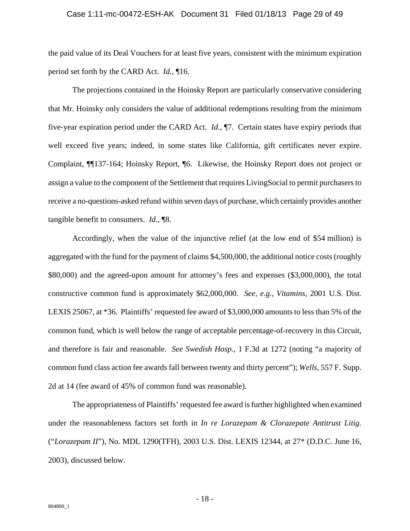#### Case 1:11-mc-00472-ESH-AK Document 31 Filed 01/18/13 Page 29 of 49

the paid value of its Deal Vouchers for at least five years, consistent with the minimum expiration period set forth by the CARD Act. *Id.*, ¶16.

The projections contained in the Hoinsky Report are particularly conservative considering that Mr. Hoinsky only considers the value of additional redemptions resulting from the minimum five-year expiration period under the CARD Act. *Id.*, ¶7. Certain states have expiry periods that well exceed five years; indeed, in some states like California, gift certificates never expire. Complaint, ¶¶137-164; Hoinsky Report, ¶6. Likewise, the Hoinsky Report does not project or assign a value to the component of the Settlement that requires LivingSocial to permit purchasers to receive a no-questions-asked refund within seven days of purchase, which certainly provides another tangible benefit to consumers. *Id.*, ¶8.

Accordingly, when the value of the injunctive relief (at the low end of \$54 million) is aggregated with the fund for the payment of claims \$4,500,000, the additional notice costs (roughly \$80,000) and the agreed-upon amount for attorney's fees and expenses (\$3,000,000), the total constructive common fund is approximately \$62,000,000. *See, e.g.*, *Vitamins*, 2001 U.S. Dist. LEXIS 25067, at \*36. Plaintiffs' requested fee award of \$3,000,000 amounts to less than 5% of the common fund, which is well below the range of acceptable percentage-of-recovery in this Circuit, and therefore is fair and reasonable. *See Swedish Hosp.*, 1 F.3d at 1272 (noting "a majority of common fund class action fee awards fall between twenty and thirty percent"); *Wells*, 557 F. Supp. 2d at 14 (fee award of 45% of common fund was reasonable).

The appropriateness of Plaintiffs' requested fee award is further highlighted when examined under the reasonableness factors set forth in *In re Lorazepam & Clorazepate Antitrust Litig.* ("*Lorazepam II*"), No. MDL 1290(TFH), 2003 U.S. Dist. LEXIS 12344, at 27\* (D.D.C. June 16, 2003), discussed below.

- 18 -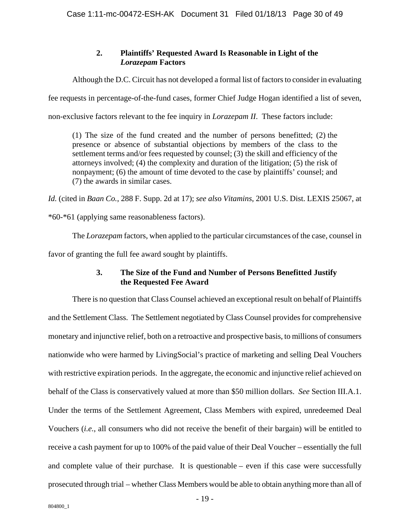### **2. Plaintiffs' Requested Award Is Reasonable in Light of the**  *Lorazepam* **Factors**

Although the D.C. Circuit has not developed a formal list of factors to consider in evaluating

fee requests in percentage-of-the-fund cases, former Chief Judge Hogan identified a list of seven,

non-exclusive factors relevant to the fee inquiry in *Lorazepam II*. These factors include:

(1) The size of the fund created and the number of persons benefitted; (2) the presence or absence of substantial objections by members of the class to the settlement terms and/or fees requested by counsel; (3) the skill and efficiency of the attorneys involved; (4) the complexity and duration of the litigation; (5) the risk of nonpayment; (6) the amount of time devoted to the case by plaintiffs' counsel; and (7) the awards in similar cases.

*Id.* (cited in *Baan Co.*, 288 F. Supp. 2d at 17); *see als*o *Vitamins*, 2001 U.S. Dist. LEXIS 25067, at

\*60-\*61 (applying same reasonableness factors).

The *Lorazepam* factors, when applied to the particular circumstances of the case, counsel in favor of granting the full fee award sought by plaintiffs.

### **3. The Size of the Fund and Number of Persons Benefitted Justify the Requested Fee Award**

There is no question that Class Counsel achieved an exceptional result on behalf of Plaintiffs and the Settlement Class. The Settlement negotiated by Class Counsel provides for comprehensive monetary and injunctive relief, both on a retroactive and prospective basis, to millions of consumers nationwide who were harmed by LivingSocial's practice of marketing and selling Deal Vouchers with restrictive expiration periods. In the aggregate, the economic and injunctive relief achieved on behalf of the Class is conservatively valued at more than \$50 million dollars. *See* Section III.A.1. Under the terms of the Settlement Agreement, Class Members with expired, unredeemed Deal Vouchers (*i.e.*, all consumers who did not receive the benefit of their bargain) will be entitled to receive a cash payment for up to 100% of the paid value of their Deal Voucher – essentially the full and complete value of their purchase. It is questionable – even if this case were successfully prosecuted through trial – whether Class Members would be able to obtain anything more than all of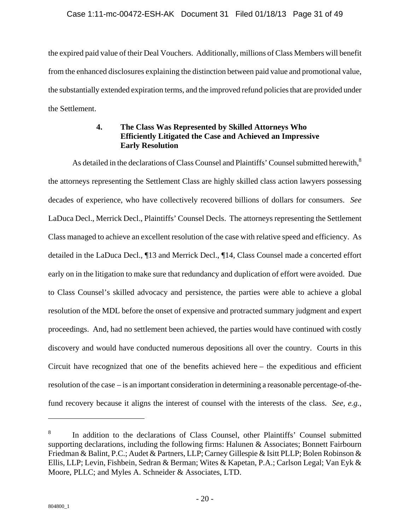### Case 1:11-mc-00472-ESH-AK Document 31 Filed 01/18/13 Page 31 of 49

the expired paid value of their Deal Vouchers. Additionally, millions of Class Members will benefit from the enhanced disclosures explaining the distinction between paid value and promotional value, the substantially extended expiration terms, and the improved refund policies that are provided under the Settlement.

### **4. The Class Was Represented by Skilled Attorneys Who Efficiently Litigated the Case and Achieved an Impressive Early Resolution**

As detailed in the declarations of Class Counsel and Plaintiffs' Counsel submitted herewith.<sup>8</sup> the attorneys representing the Settlement Class are highly skilled class action lawyers possessing decades of experience, who have collectively recovered billions of dollars for consumers. *See*  LaDuca Decl., Merrick Decl., Plaintiffs' Counsel Decls. The attorneys representing the Settlement Class managed to achieve an excellent resolution of the case with relative speed and efficiency. As detailed in the LaDuca Decl., ¶13 and Merrick Decl., ¶14, Class Counsel made a concerted effort early on in the litigation to make sure that redundancy and duplication of effort were avoided. Due to Class Counsel's skilled advocacy and persistence, the parties were able to achieve a global resolution of the MDL before the onset of expensive and protracted summary judgment and expert proceedings. And, had no settlement been achieved, the parties would have continued with costly discovery and would have conducted numerous depositions all over the country. Courts in this Circuit have recognized that one of the benefits achieved here – the expeditious and efficient resolution of the case – is an important consideration in determining a reasonable percentage-of-thefund recovery because it aligns the interest of counsel with the interests of the class. *See, e.g.*,

1

<sup>8</sup> In addition to the declarations of Class Counsel, other Plaintiffs' Counsel submitted supporting declarations, including the following firms: Halunen & Associates; Bonnett Fairbourn Friedman & Balint, P.C.; Audet & Partners, LLP; Carney Gillespie & Isitt PLLP; Bolen Robinson & Ellis, LLP; Levin, Fishbein, Sedran & Berman; Wites & Kapetan, P.A.; Carlson Legal; Van Eyk & Moore, PLLC; and Myles A. Schneider & Associates, LTD.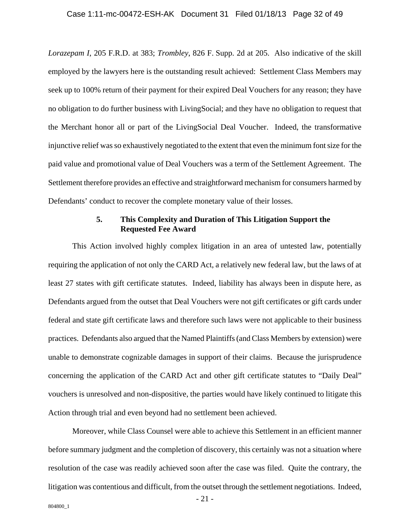#### Case 1:11-mc-00472-ESH-AK Document 31 Filed 01/18/13 Page 32 of 49

*Lorazepam I*, 205 F.R.D. at 383; *Trombley*, 826 F. Supp. 2d at 205. Also indicative of the skill employed by the lawyers here is the outstanding result achieved: Settlement Class Members may seek up to 100% return of their payment for their expired Deal Vouchers for any reason; they have no obligation to do further business with LivingSocial; and they have no obligation to request that the Merchant honor all or part of the LivingSocial Deal Voucher. Indeed, the transformative injunctive relief was so exhaustively negotiated to the extent that even the minimum font size for the paid value and promotional value of Deal Vouchers was a term of the Settlement Agreement. The Settlement therefore provides an effective and straightforward mechanism for consumers harmed by Defendants' conduct to recover the complete monetary value of their losses.

### **5. This Complexity and Duration of This Litigation Support the Requested Fee Award**

This Action involved highly complex litigation in an area of untested law, potentially requiring the application of not only the CARD Act, a relatively new federal law, but the laws of at least 27 states with gift certificate statutes. Indeed, liability has always been in dispute here, as Defendants argued from the outset that Deal Vouchers were not gift certificates or gift cards under federal and state gift certificate laws and therefore such laws were not applicable to their business practices. Defendants also argued that the Named Plaintiffs (and Class Members by extension) were unable to demonstrate cognizable damages in support of their claims. Because the jurisprudence concerning the application of the CARD Act and other gift certificate statutes to "Daily Deal" vouchers is unresolved and non-dispositive, the parties would have likely continued to litigate this Action through trial and even beyond had no settlement been achieved.

- 21 - Moreover, while Class Counsel were able to achieve this Settlement in an efficient manner before summary judgment and the completion of discovery, this certainly was not a situation where resolution of the case was readily achieved soon after the case was filed. Quite the contrary, the litigation was contentious and difficult, from the outset through the settlement negotiations. Indeed,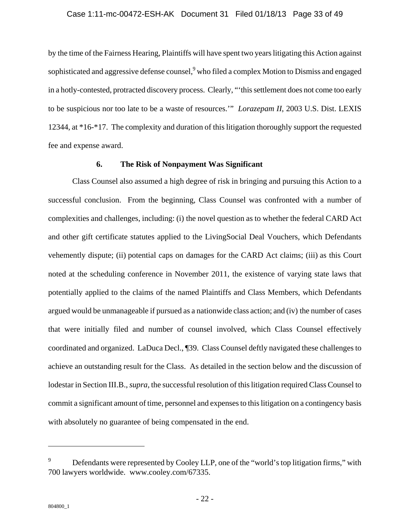#### Case 1:11-mc-00472-ESH-AK Document 31 Filed 01/18/13 Page 33 of 49

by the time of the Fairness Hearing, Plaintiffs will have spent two years litigating this Action against sophisticated and aggressive defense counsel, who filed a complex Motion to Dismiss and engaged in a hotly-contested, protracted discovery process. Clearly, "'this settlement does not come too early to be suspicious nor too late to be a waste of resources.'" *Lorazepam II*, 2003 U.S. Dist. LEXIS 12344, at \*16-\*17. The complexity and duration of this litigation thoroughly support the requested fee and expense award.

### **6. The Risk of Nonpayment Was Significant**

Class Counsel also assumed a high degree of risk in bringing and pursuing this Action to a successful conclusion. From the beginning, Class Counsel was confronted with a number of complexities and challenges, including: (i) the novel question as to whether the federal CARD Act and other gift certificate statutes applied to the LivingSocial Deal Vouchers, which Defendants vehemently dispute; (ii) potential caps on damages for the CARD Act claims; (iii) as this Court noted at the scheduling conference in November 2011, the existence of varying state laws that potentially applied to the claims of the named Plaintiffs and Class Members, which Defendants argued would be unmanageable if pursued as a nationwide class action; and (iv) the number of cases that were initially filed and number of counsel involved, which Class Counsel effectively coordinated and organized. LaDuca Decl., ¶39. Class Counsel deftly navigated these challenges to achieve an outstanding result for the Class. As detailed in the section below and the discussion of lodestar in Section III.B., *supra*, the successful resolution of this litigation required Class Counsel to commit a significant amount of time, personnel and expenses to this litigation on a contingency basis with absolutely no guarantee of being compensated in the end.

 $\overline{a}$ 

<sup>9</sup> Defendants were represented by Cooley LLP, one of the "world's top litigation firms," with 700 lawyers worldwide. www.cooley.com/67335.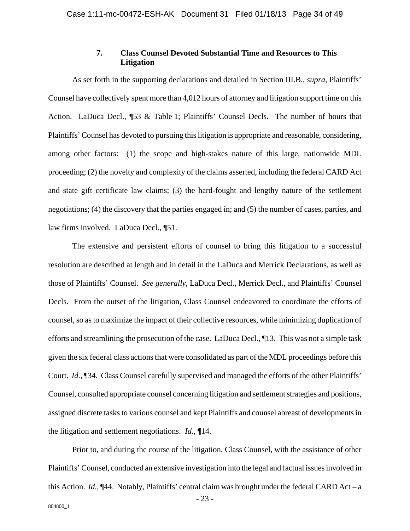### **7. Class Counsel Devoted Substantial Time and Resources to This Litigation**

As set forth in the supporting declarations and detailed in Section III.B., *supra*, Plaintiffs' Counsel have collectively spent more than 4,012 hours of attorney and litigation support time on this Action. LaDuca Decl., ¶53 & Table 1; Plaintiffs' Counsel Decls. The number of hours that Plaintiffs' Counsel has devoted to pursuing this litigation is appropriate and reasonable, considering, among other factors: (1) the scope and high-stakes nature of this large, nationwide MDL proceeding; (2) the novelty and complexity of the claims asserted, including the federal CARD Act and state gift certificate law claims; (3) the hard-fought and lengthy nature of the settlement negotiations; (4) the discovery that the parties engaged in; and (5) the number of cases, parties, and law firms involved. LaDuca Decl., ¶51.

The extensive and persistent efforts of counsel to bring this litigation to a successful resolution are described at length and in detail in the LaDuca and Merrick Declarations, as well as those of Plaintiffs' Counsel. *See generally*, LaDuca Decl., Merrick Decl., and Plaintiffs' Counsel Decls. From the outset of the litigation, Class Counsel endeavored to coordinate the efforts of counsel, so as to maximize the impact of their collective resources, while minimizing duplication of efforts and streamlining the prosecution of the case. LaDuca Decl., ¶13. This was not a simple task given the six federal class actions that were consolidated as part of the MDL proceedings before this Court. *Id.*, ¶34. Class Counsel carefully supervised and managed the efforts of the other Plaintiffs' Counsel, consulted appropriate counsel concerning litigation and settlement strategies and positions, assigned discrete tasks to various counsel and kept Plaintiffs and counsel abreast of developments in the litigation and settlement negotiations. *Id.*, ¶14.

- 23 - 804800\_1 Prior to, and during the course of the litigation, Class Counsel, with the assistance of other Plaintiffs' Counsel, conducted an extensive investigation into the legal and factual issues involved in this Action. *Id.*, ¶44. Notably, Plaintiffs' central claim was brought under the federal CARD Act – a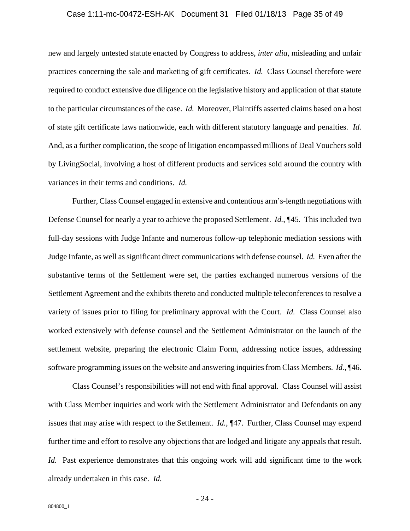#### Case 1:11-mc-00472-ESH-AK Document 31 Filed 01/18/13 Page 35 of 49

new and largely untested statute enacted by Congress to address, *inter alia*, misleading and unfair practices concerning the sale and marketing of gift certificates. *Id.* Class Counsel therefore were required to conduct extensive due diligence on the legislative history and application of that statute to the particular circumstances of the case. *Id.* Moreover, Plaintiffs asserted claims based on a host of state gift certificate laws nationwide, each with different statutory language and penalties. *Id.* And, as a further complication, the scope of litigation encompassed millions of Deal Vouchers sold by LivingSocial, involving a host of different products and services sold around the country with variances in their terms and conditions. *Id.*

Further, Class Counsel engaged in extensive and contentious arm's-length negotiations with Defense Counsel for nearly a year to achieve the proposed Settlement. *Id.*, ¶45. This included two full-day sessions with Judge Infante and numerous follow-up telephonic mediation sessions with Judge Infante, as well as significant direct communications with defense counsel. *Id.* Even after the substantive terms of the Settlement were set, the parties exchanged numerous versions of the Settlement Agreement and the exhibits thereto and conducted multiple teleconferences to resolve a variety of issues prior to filing for preliminary approval with the Court. *Id.* Class Counsel also worked extensively with defense counsel and the Settlement Administrator on the launch of the settlement website, preparing the electronic Claim Form, addressing notice issues, addressing software programming issues on the website and answering inquiries from Class Members. *Id.*, ¶46.

Class Counsel's responsibilities will not end with final approval. Class Counsel will assist with Class Member inquiries and work with the Settlement Administrator and Defendants on any issues that may arise with respect to the Settlement. *Id.*, ¶47. Further, Class Counsel may expend further time and effort to resolve any objections that are lodged and litigate any appeals that result. *Id.* Past experience demonstrates that this ongoing work will add significant time to the work already undertaken in this case. *Id.*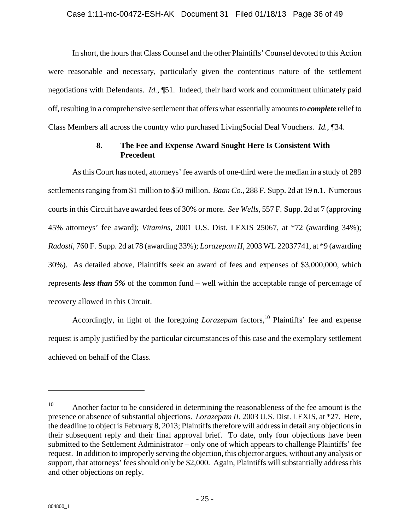### Case 1:11-mc-00472-ESH-AK Document 31 Filed 01/18/13 Page 36 of 49

In short, the hours that Class Counsel and the other Plaintiffs' Counsel devoted to this Action were reasonable and necessary, particularly given the contentious nature of the settlement negotiations with Defendants. *Id.*, ¶51. Indeed, their hard work and commitment ultimately paid off, resulting in a comprehensive settlement that offers what essentially amounts to *complete* relief to Class Members all across the country who purchased LivingSocial Deal Vouchers. *Id.*, ¶34.

### **8. The Fee and Expense Award Sought Here Is Consistent With Precedent**

As this Court has noted, attorneys' fee awards of one-third were the median in a study of 289 settlements ranging from \$1 million to \$50 million. *Baan Co.*, 288 F. Supp. 2d at 19 n.1. Numerous courts in this Circuit have awarded fees of 30% or more. *See Wells*, 557 F. Supp. 2d at 7 (approving 45% attorneys' fee award); *Vitamins*, 2001 U.S. Dist. LEXIS 25067, at \*72 (awarding 34%); *Radosti*, 760 F. Supp. 2d at 78 (awarding 33%); *Lorazepam II*, 2003 WL 22037741, at \*9 (awarding 30%). As detailed above, Plaintiffs seek an award of fees and expenses of \$3,000,000, which represents *less than 5%* of the common fund – well within the acceptable range of percentage of recovery allowed in this Circuit.

Accordingly, in light of the foregoing *Lorazepam* factors,<sup>10</sup> Plaintiffs' fee and expense request is amply justified by the particular circumstances of this case and the exemplary settlement achieved on behalf of the Class.

 $\overline{a}$ 

 $10$  Another factor to be considered in determining the reasonableness of the fee amount is the presence or absence of substantial objections. *Lorazepam II*, 2003 U.S. Dist. LEXIS, at \*27. Here, the deadline to object is February 8, 2013; Plaintiffs therefore will address in detail any objections in their subsequent reply and their final approval brief. To date, only four objections have been submitted to the Settlement Administrator – only one of which appears to challenge Plaintiffs' fee request. In addition to improperly serving the objection, this objector argues, without any analysis or support, that attorneys' fees should only be \$2,000. Again, Plaintiffs will substantially address this and other objections on reply.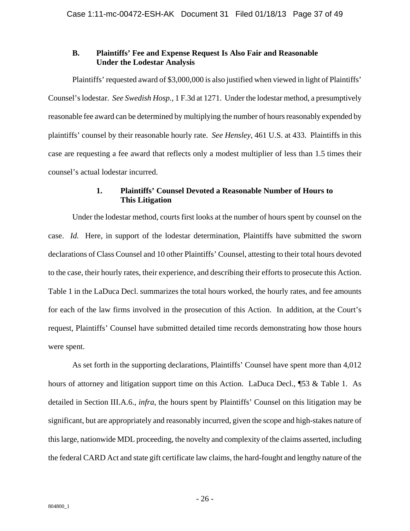### **B. Plaintiffs' Fee and Expense Request Is Also Fair and Reasonable Under the Lodestar Analysis**

Plaintiffs' requested award of \$3,000,000 is also justified when viewed in light of Plaintiffs' Counsel's lodestar. *See Swedish Hosp.*, 1 F.3d at 1271.Under the lodestar method, a presumptively reasonable fee award can be determined by multiplying the number of hours reasonably expended by plaintiffs' counsel by their reasonable hourly rate. *See Hensley*, 461 U.S. at 433. Plaintiffs in this case are requesting a fee award that reflects only a modest multiplier of less than 1.5 times their counsel's actual lodestar incurred.

### **1. Plaintiffs' Counsel Devoted a Reasonable Number of Hours to This Litigation**

Under the lodestar method, courts first looks at the number of hours spent by counsel on the case. *Id.* Here, in support of the lodestar determination, Plaintiffs have submitted the sworn declarations of Class Counsel and 10 other Plaintiffs' Counsel, attesting to their total hours devoted to the case, their hourly rates, their experience, and describing their efforts to prosecute this Action. Table 1 in the LaDuca Decl. summarizes the total hours worked, the hourly rates, and fee amounts for each of the law firms involved in the prosecution of this Action. In addition, at the Court's request, Plaintiffs' Counsel have submitted detailed time records demonstrating how those hours were spent.

As set forth in the supporting declarations, Plaintiffs' Counsel have spent more than 4,012 hours of attorney and litigation support time on this Action. LaDuca Decl., ¶53 & Table 1. As detailed in Section III.A.6., *infra*, the hours spent by Plaintiffs' Counsel on this litigation may be significant, but are appropriately and reasonably incurred, given the scope and high-stakes nature of this large, nationwide MDL proceeding, the novelty and complexity of the claims asserted, including the federal CARD Act and state gift certificate law claims, the hard-fought and lengthy nature of the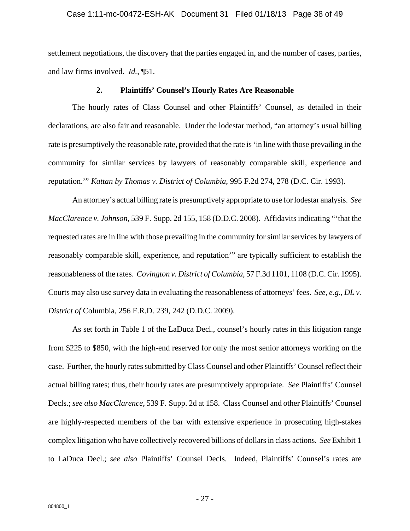#### Case 1:11-mc-00472-ESH-AK Document 31 Filed 01/18/13 Page 38 of 49

settlement negotiations, the discovery that the parties engaged in, and the number of cases, parties, and law firms involved. *Id.*, ¶51.

#### **2. Plaintiffs' Counsel's Hourly Rates Are Reasonable**

The hourly rates of Class Counsel and other Plaintiffs' Counsel, as detailed in their declarations, are also fair and reasonable. Under the lodestar method, "an attorney's usual billing rate is presumptively the reasonable rate, provided that the rate is 'in line with those prevailing in the community for similar services by lawyers of reasonably comparable skill, experience and reputation.'" *Kattan by Thomas v. District of Columbia*, 995 F.2d 274, 278 (D.C. Cir. 1993).

An attorney's actual billing rate is presumptively appropriate to use for lodestar analysis. *See MacClarence v. Johnson*, 539 F. Supp. 2d 155, 158 (D.D.C. 2008). Affidavits indicating "'that the requested rates are in line with those prevailing in the community for similar services by lawyers of reasonably comparable skill, experience, and reputation'" are typically sufficient to establish the reasonableness of the rates. *Covington v. District of Columbia*, 57 F.3d 1101, 1108 (D.C. Cir. 1995). Courts may also use survey data in evaluating the reasonableness of attorneys' fees. *See, e.g.*, *DL v. District of* Columbia, 256 F.R.D. 239, 242 (D.D.C. 2009).

As set forth in Table 1 of the LaDuca Decl., counsel's hourly rates in this litigation range from \$225 to \$850, with the high-end reserved for only the most senior attorneys working on the case. Further, the hourly rates submitted by Class Counsel and other Plaintiffs' Counsel reflect their actual billing rates; thus, their hourly rates are presumptively appropriate. *See* Plaintiffs' Counsel Decls.; *see also MacClarence*, 539 F. Supp. 2d at 158. Class Counsel and other Plaintiffs' Counsel are highly-respected members of the bar with extensive experience in prosecuting high-stakes complex litigation who have collectively recovered billions of dollars in class actions. *See* Exhibit 1 to LaDuca Decl.; *see also* Plaintiffs' Counsel Decls. Indeed, Plaintiffs' Counsel's rates are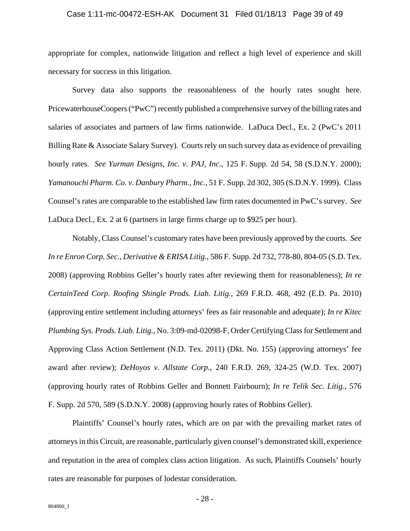#### Case 1:11-mc-00472-ESH-AK Document 31 Filed 01/18/13 Page 39 of 49

appropriate for complex, nationwide litigation and reflect a high level of experience and skill necessary for success in this litigation.

Survey data also supports the reasonableness of the hourly rates sought here. PricewaterhouseCoopers ("PwC") recently published a comprehensive survey of the billing rates and salaries of associates and partners of law firms nationwide. LaDuca Decl., Ex. 2 (PwC's 2011 Billing Rate & Associate Salary Survey). Courts rely on such survey data as evidence of prevailing hourly rates. *See Yurman Designs, Inc. v. PAJ, Inc.*, 125 F. Supp. 2d 54, 58 (S.D.N.Y. 2000); *Yamanouchi Pharm. Co. v. Danbury Pharm., Inc.*, 51 F. Supp. 2d 302, 305 (S.D.N.Y. 1999). Class Counsel's rates are comparable to the established law firm rates documented in PwC's survey. *See* LaDuca Decl., Ex. 2 at 6 (partners in large firms charge up to \$925 per hour).

Notably, Class Counsel's customary rates have been previously approved by the courts. *See In re Enron Corp. Sec., Derivative & ERISA Litig.*, 586 F. Supp. 2d 732, 778-80, 804-05 (S.D. Tex. 2008) (approving Robbins Geller's hourly rates after reviewing them for reasonableness); *In re CertainTeed Corp. Roofing Shingle Prods. Liab. Litig.*, 269 F.R.D. 468, 492 (E.D. Pa. 2010) (approving entire settlement including attorneys' fees as fair reasonable and adequate); *In re Kitec Plumbing Sys. Prods. Liab. Litig.*, No. 3:09-md-02098-F, Order Certifying Class for Settlement and Approving Class Action Settlement (N.D. Tex. 2011) (Dkt. No. 155) (approving attorneys' fee award after review); *DeHoyos v. Allstate Corp.*, 240 F.R.D. 269, 324-25 (W.D. Tex. 2007) (approving hourly rates of Robbins Geller and Bonnett Fairbourn); *In re Telik Sec. Litig.*, 576 F. Supp. 2d 570, 589 (S.D.N.Y. 2008) (approving hourly rates of Robbins Geller).

Plaintiffs' Counsel's hourly rates, which are on par with the prevailing market rates of attorneys in this Circuit, are reasonable, particularly given counsel's demonstrated skill, experience and reputation in the area of complex class action litigation. As such, Plaintiffs Counsels' hourly rates are reasonable for purposes of lodestar consideration.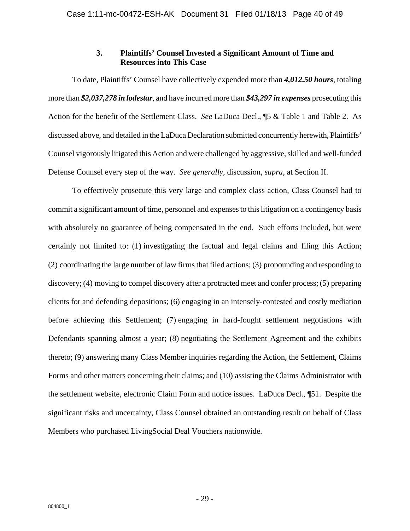### **3. Plaintiffs' Counsel Invested a Significant Amount of Time and Resources into This Case**

To date, Plaintiffs' Counsel have collectively expended more than *4,012.50 hours*, totaling more than *\$2,037,278 in lodestar*, and have incurred more than *\$43,297 in expenses* prosecuting this Action for the benefit of the Settlement Class. *See* LaDuca Decl., ¶5 & Table 1 and Table 2. As discussed above, and detailed in the LaDuca Declaration submitted concurrently herewith, Plaintiffs' Counsel vigorously litigated this Action and were challenged by aggressive, skilled and well-funded Defense Counsel every step of the way. *See generally*, discussion, *supra*, at Section II.

To effectively prosecute this very large and complex class action, Class Counsel had to commit a significant amount of time, personnel and expenses to this litigation on a contingency basis with absolutely no guarantee of being compensated in the end. Such efforts included, but were certainly not limited to: (1) investigating the factual and legal claims and filing this Action; (2) coordinating the large number of law firms that filed actions; (3) propounding and responding to discovery; (4) moving to compel discovery after a protracted meet and confer process; (5) preparing clients for and defending depositions; (6) engaging in an intensely-contested and costly mediation before achieving this Settlement; (7) engaging in hard-fought settlement negotiations with Defendants spanning almost a year; (8) negotiating the Settlement Agreement and the exhibits thereto; (9) answering many Class Member inquiries regarding the Action, the Settlement, Claims Forms and other matters concerning their claims; and (10) assisting the Claims Administrator with the settlement website, electronic Claim Form and notice issues. LaDuca Decl., ¶51. Despite the significant risks and uncertainty, Class Counsel obtained an outstanding result on behalf of Class Members who purchased LivingSocial Deal Vouchers nationwide.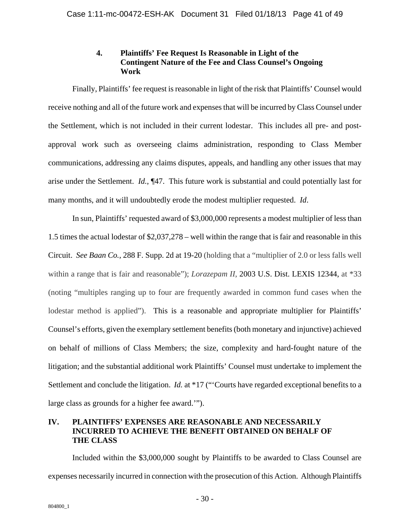### **4. Plaintiffs' Fee Request Is Reasonable in Light of the Contingent Nature of the Fee and Class Counsel's Ongoing Work**

Finally, Plaintiffs' fee request is reasonable in light of the risk that Plaintiffs' Counsel would receive nothing and all of the future work and expenses that will be incurred by Class Counsel under the Settlement, which is not included in their current lodestar. This includes all pre- and postapproval work such as overseeing claims administration, responding to Class Member communications, addressing any claims disputes, appeals, and handling any other issues that may arise under the Settlement. *Id.*, ¶47. This future work is substantial and could potentially last for many months, and it will undoubtedly erode the modest multiplier requested. *Id*.

In sun, Plaintiffs' requested award of \$3,000,000 represents a modest multiplier of less than 1.5 times the actual lodestar of \$2,037,278 – well within the range that is fair and reasonable in this Circuit. *See Baan Co.*, 288 F. Supp. 2d at 19-20 (holding that a "multiplier of 2.0 or less falls well within a range that is fair and reasonable"); *Lorazepam II*, 2003 U.S. Dist. LEXIS 12344, at \*33 (noting "multiples ranging up to four are frequently awarded in common fund cases when the lodestar method is applied"). This is a reasonable and appropriate multiplier for Plaintiffs' Counsel's efforts, given the exemplary settlement benefits (both monetary and injunctive) achieved on behalf of millions of Class Members; the size, complexity and hard-fought nature of the litigation; and the substantial additional work Plaintiffs' Counsel must undertake to implement the Settlement and conclude the litigation. *Id.* at \*17 ("'Courts have regarded exceptional benefits to a large class as grounds for a higher fee award.'").

### **IV. PLAINTIFFS' EXPENSES ARE REASONABLE AND NECESSARILY INCURRED TO ACHIEVE THE BENEFIT OBTAINED ON BEHALF OF THE CLASS**

Included within the \$3,000,000 sought by Plaintiffs to be awarded to Class Counsel are expenses necessarily incurred in connection with the prosecution of this Action. Although Plaintiffs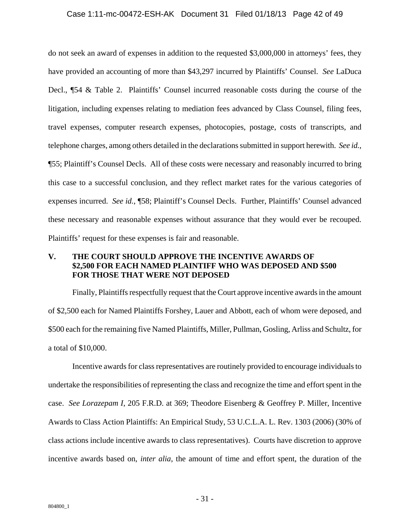#### Case 1:11-mc-00472-ESH-AK Document 31 Filed 01/18/13 Page 42 of 49

do not seek an award of expenses in addition to the requested \$3,000,000 in attorneys' fees, they have provided an accounting of more than \$43,297 incurred by Plaintiffs' Counsel. *See* LaDuca Decl., ¶54 & Table 2. Plaintiffs' Counsel incurred reasonable costs during the course of the litigation, including expenses relating to mediation fees advanced by Class Counsel, filing fees, travel expenses, computer research expenses, photocopies, postage, costs of transcripts, and telephone charges, among others detailed in the declarations submitted in support herewith. *See id.*, ¶55; Plaintiff's Counsel Decls. All of these costs were necessary and reasonably incurred to bring this case to a successful conclusion, and they reflect market rates for the various categories of expenses incurred. *See id.*, ¶58; Plaintiff's Counsel Decls. Further, Plaintiffs' Counsel advanced these necessary and reasonable expenses without assurance that they would ever be recouped. Plaintiffs' request for these expenses is fair and reasonable.

### **V. THE COURT SHOULD APPROVE THE INCENTIVE AWARDS OF \$2,500 FOR EACH NAMED PLAINTIFF WHO WAS DEPOSED AND \$500 FOR THOSE THAT WERE NOT DEPOSED**

Finally, Plaintiffs respectfully request that the Court approve incentive awards in the amount of \$2,500 each for Named Plaintiffs Forshey, Lauer and Abbott, each of whom were deposed, and \$500 each for the remaining five Named Plaintiffs, Miller, Pullman, Gosling, Arliss and Schultz, for a total of \$10,000.

Incentive awards for class representatives are routinely provided to encourage individuals to undertake the responsibilities of representing the class and recognize the time and effort spent in the case. *See Lorazepam I*, 205 F.R.D. at 369; Theodore Eisenberg & Geoffrey P. Miller, Incentive Awards to Class Action Plaintiffs: An Empirical Study, 53 U.C.L.A. L. Rev. 1303 (2006) (30% of class actions include incentive awards to class representatives). Courts have discretion to approve incentive awards based on, *inter alia*, the amount of time and effort spent, the duration of the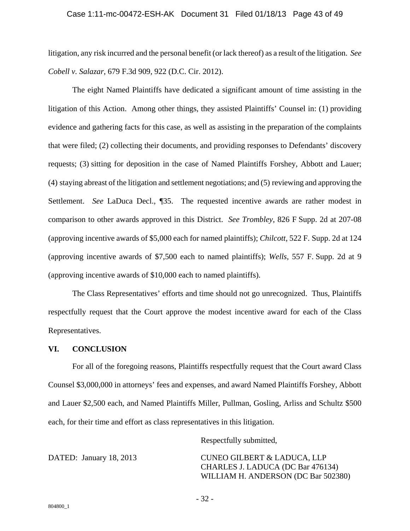#### Case 1:11-mc-00472-ESH-AK Document 31 Filed 01/18/13 Page 43 of 49

litigation, any risk incurred and the personal benefit (or lack thereof) as a result of the litigation. *See Cobell v. Salazar*, 679 F.3d 909, 922 (D.C. Cir. 2012).

The eight Named Plaintiffs have dedicated a significant amount of time assisting in the litigation of this Action. Among other things, they assisted Plaintiffs' Counsel in: (1) providing evidence and gathering facts for this case, as well as assisting in the preparation of the complaints that were filed; (2) collecting their documents, and providing responses to Defendants' discovery requests; (3) sitting for deposition in the case of Named Plaintiffs Forshey, Abbott and Lauer; (4) staying abreast of the litigation and settlement negotiations; and (5) reviewing and approving the Settlement. *See* LaDuca Decl., ¶35. The requested incentive awards are rather modest in comparison to other awards approved in this District. *See Trombley*, 826 F Supp. 2d at 207-08 (approving incentive awards of \$5,000 each for named plaintiffs); *Chilcott*, 522 F. Supp. 2d at 124 (approving incentive awards of \$7,500 each to named plaintiffs); *Wells*, 557 F. Supp. 2d at 9 (approving incentive awards of \$10,000 each to named plaintiffs).

The Class Representatives' efforts and time should not go unrecognized. Thus, Plaintiffs respectfully request that the Court approve the modest incentive award for each of the Class Representatives.

#### **VI. CONCLUSION**

For all of the foregoing reasons, Plaintiffs respectfully request that the Court award Class Counsel \$3,000,000 in attorneys' fees and expenses, and award Named Plaintiffs Forshey, Abbott and Lauer \$2,500 each, and Named Plaintiffs Miller, Pullman, Gosling, Arliss and Schultz \$500 each, for their time and effort as class representatives in this litigation.

Respectfully submitted,

DATED: January 18, 2013 CUNEO GILBERT & LADUCA, LLP CHARLES J. LADUCA (DC Bar 476134) WILLIAM H. ANDERSON (DC Bar 502380)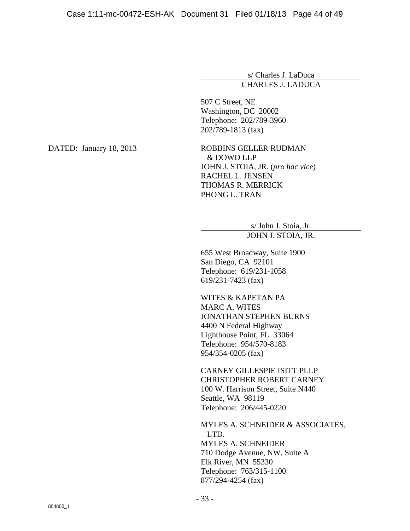### s/ Charles J. LaDuca CHARLES J. LADUCA

507 C Street, NE Washington, DC 20002 Telephone: 202/789-3960 202/789-1813 (fax)

DATED: January 18, 2013 ROBBINS GELLER RUDMAN & DOWD LLP JOHN J. STOIA, JR. (*pro hac vice*) RACHEL L. JENSEN THOMAS R. MERRICK PHONG L. TRAN

> s/ John J. Stoia, Jr. JOHN J. STOIA, JR.

655 West Broadway, Suite 1900 San Diego, CA 92101 Telephone: 619/231-1058 619/231-7423 (fax)

WITES & KAPETAN PA MARC A. WITES JONATHAN STEPHEN BURNS 4400 N Federal Highway Lighthouse Point, FL 33064 Telephone: 954/570-8183 954/354-0205 (fax)

CARNEY GILLESPIE ISITT PLLP CHRISTOPHER ROBERT CARNEY 100 W. Harrison Street, Suite N440 Seattle, WA 98119 Telephone: 206/445-0220

MYLES A. SCHNEIDER & ASSOCIATES, LTD. MYLES A. SCHNEIDER 710 Dodge Avenue, NW, Suite A Elk River, MN 55330 Telephone: 763/315-1100 877/294-4254 (fax)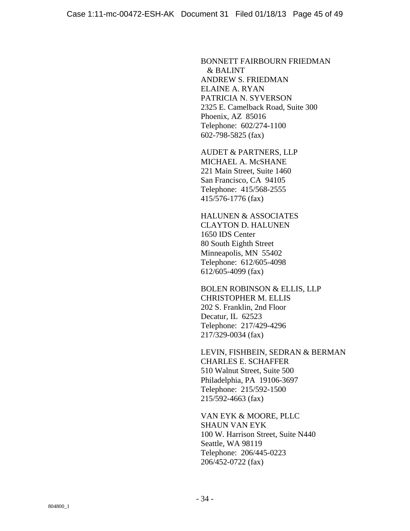BONNETT FAIRBOURN FRIEDMAN & BALINT ANDREW S. FRIEDMAN ELAINE A. RYAN PATRICIA N. SYVERSON 2325 E. Camelback Road, Suite 300 Phoenix, AZ 85016 Telephone: 602/274-1100 602-798-5825 (fax)

AUDET & PARTNERS, LLP MICHAEL A. McSHANE 221 Main Street, Suite 1460 San Francisco, CA 94105 Telephone: 415/568-2555 415/576-1776 (fax)

HALUNEN & ASSOCIATES CLAYTON D. HALUNEN 1650 IDS Center 80 South Eighth Street Minneapolis, MN 55402 Telephone: 612/605-4098 612/605-4099 (fax)

BOLEN ROBINSON & ELLIS, LLP CHRISTOPHER M. ELLIS 202 S. Franklin, 2nd Floor Decatur, IL 62523 Telephone: 217/429-4296 217/329-0034 (fax)

LEVIN, FISHBEIN, SEDRAN & BERMAN CHARLES E. SCHAFFER 510 Walnut Street, Suite 500 Philadelphia, PA 19106-3697 Telephone: 215/592-1500 215/592-4663 (fax)

VAN EYK & MOORE, PLLC SHAUN VAN EYK 100 W. Harrison Street, Suite N440 Seattle, WA 98119 Telephone: 206/445-0223 206/452-0722 (fax)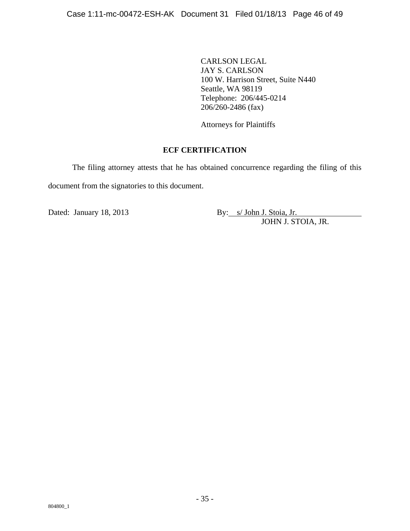CARLSON LEGAL JAY S. CARLSON 100 W. Harrison Street, Suite N440 Seattle, WA 98119 Telephone: 206/445-0214 206/260-2486 (fax)

Attorneys for Plaintiffs

### **ECF CERTIFICATION**

The filing attorney attests that he has obtained concurrence regarding the filing of this document from the signatories to this document.

Dated: January 18, 2013 By: s/ John J. Stoia, Jr. JOHN J. STOIA, JR.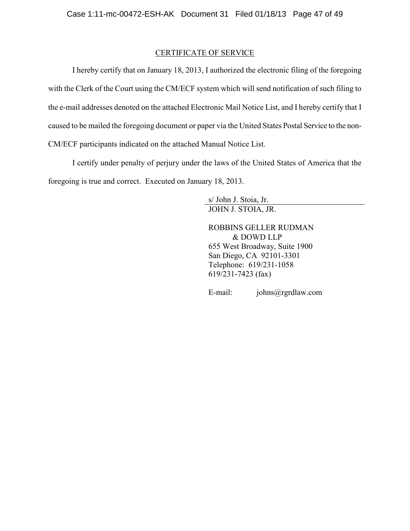### CERTIFICATE OF SERVICE

I hereby certify that on January 18, 2013, I authorized the electronic filing of the foregoing with the Clerk of the Court using the CM/ECF system which will send notification of such filing to the e-mail addresses denoted on the attached Electronic Mail Notice List, and I hereby certify that I caused to be mailed the foregoing document or paper via the United States Postal Service to the non-CM/ECF participants indicated on the attached Manual Notice List.

I certify under penalty of perjury under the laws of the United States of America that the foregoing is true and correct. Executed on January 18, 2013.

> s/ John J. Stoia, Jr. JOHN J. STOIA, JR.

ROBBINS GELLER RUDMAN & DOWD LLP 655 West Broadway, Suite 1900 San Diego, CA 92101-3301 Telephone: 619/231-1058 619/231-7423 (fax)

E-mail: johns@rgrdlaw.com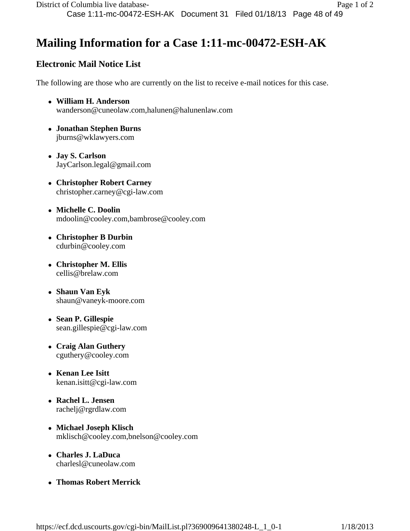# **Mailing Information for a Case 1:11-mc-00472-ESH-AK**

# **Electronic Mail Notice List**

The following are those who are currently on the list to receive e-mail notices for this case.

- **William H. Anderson**  wanderson@cuneolaw.com,halunen@halunenlaw.com
- **Jonathan Stephen Burns**  jburns@wklawyers.com
- **Jay S. Carlson**  JayCarlson.legal@gmail.com
- **Christopher Robert Carney**  christopher.carney@cgi-law.com
- **Michelle C. Doolin**  mdoolin@cooley.com,bambrose@cooley.com
- **Christopher B Durbin**  cdurbin@cooley.com
- **Christopher M. Ellis**  cellis@brelaw.com
- **Shaun Van Eyk**  shaun@vaneyk-moore.com
- **Sean P. Gillespie**  sean.gillespie@cgi-law.com
- **Craig Alan Guthery**  cguthery@cooley.com
- **Kenan Lee Isitt**  kenan.isitt@cgi-law.com
- **Rachel L. Jensen**  rachelj@rgrdlaw.com
- **Michael Joseph Klisch**  mklisch@cooley.com,bnelson@cooley.com
- **Charles J. LaDuca**  charlesl@cuneolaw.com
- **Thomas Robert Merrick**